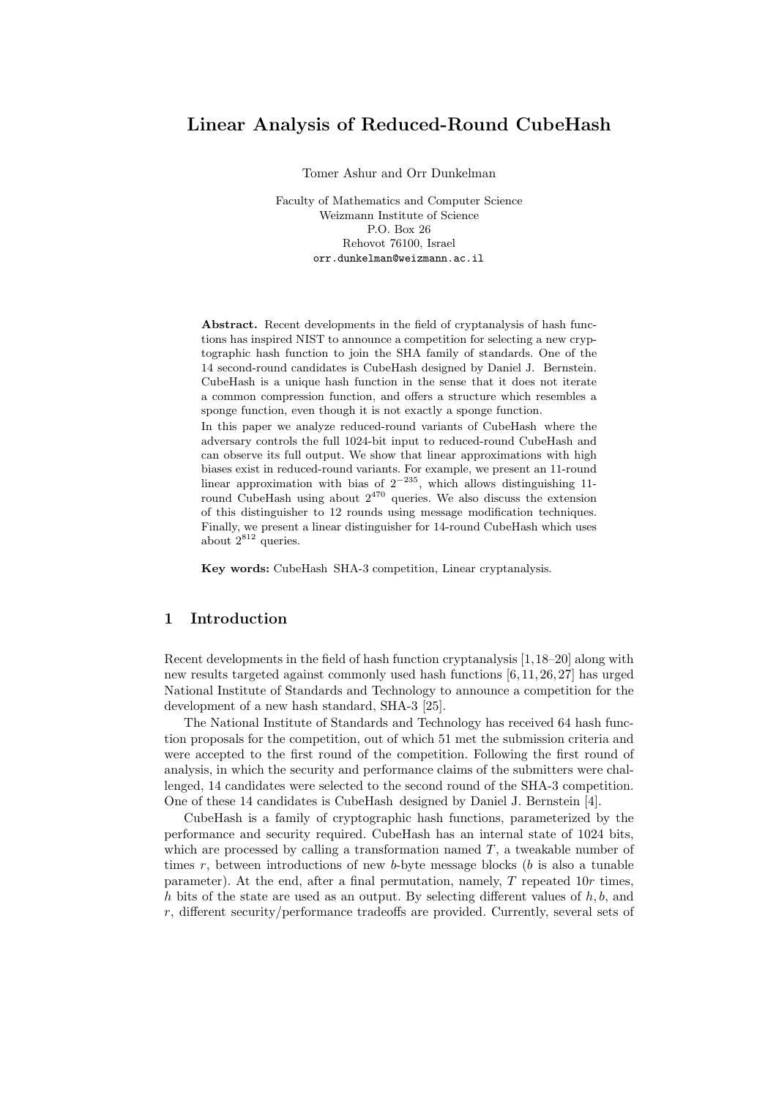# Linear Analysis of Reduced-Round CubeHash

Tomer Ashur and Orr Dunkelman

Faculty of Mathematics and Computer Science Weizmann Institute of Science P.O. Box 26 Rehovot 76100, Israel orr.dunkelman@weizmann.ac.il

Abstract. Recent developments in the field of cryptanalysis of hash functions has inspired NIST to announce a competition for selecting a new cryptographic hash function to join the SHA family of standards. One of the 14 second-round candidates is CubeHash designed by Daniel J. Bernstein. CubeHash is a unique hash function in the sense that it does not iterate a common compression function, and offers a structure which resembles a sponge function, even though it is not exactly a sponge function.

In this paper we analyze reduced-round variants of CubeHash where the adversary controls the full 1024-bit input to reduced-round CubeHash and can observe its full output. We show that linear approximations with high biases exist in reduced-round variants. For example, we present an 11-round linear approximation with bias of  $2^{-235}$ , which allows distinguishing 11round CubeHash using about  $2^{470}$  queries. We also discuss the extension of this distinguisher to 12 rounds using message modification techniques. Finally, we present a linear distinguisher for 14-round CubeHash which uses about  $2^{812}$  queries.

Key words: CubeHash SHA-3 competition, Linear cryptanalysis.

## 1 Introduction

Recent developments in the field of hash function cryptanalysis [1,18–20] along with new results targeted against commonly used hash functions [6, 11, 26, 27] has urged National Institute of Standards and Technology to announce a competition for the development of a new hash standard, SHA-3 [25].

The National Institute of Standards and Technology has received 64 hash function proposals for the competition, out of which 51 met the submission criteria and were accepted to the first round of the competition. Following the first round of analysis, in which the security and performance claims of the submitters were challenged, 14 candidates were selected to the second round of the SHA-3 competition. One of these 14 candidates is CubeHash designed by Daniel J. Bernstein [4].

CubeHash is a family of cryptographic hash functions, parameterized by the performance and security required. CubeHash has an internal state of 1024 bits, which are processed by calling a transformation named  $T$ , a tweakable number of times  $r$ , between introductions of new  $b$ -byte message blocks ( $b$  is also a tunable parameter). At the end, after a final permutation, namely, T repeated 10r times, h bits of the state are used as an output. By selecting different values of  $h, b$ , and r, different security/performance tradeoffs are provided. Currently, several sets of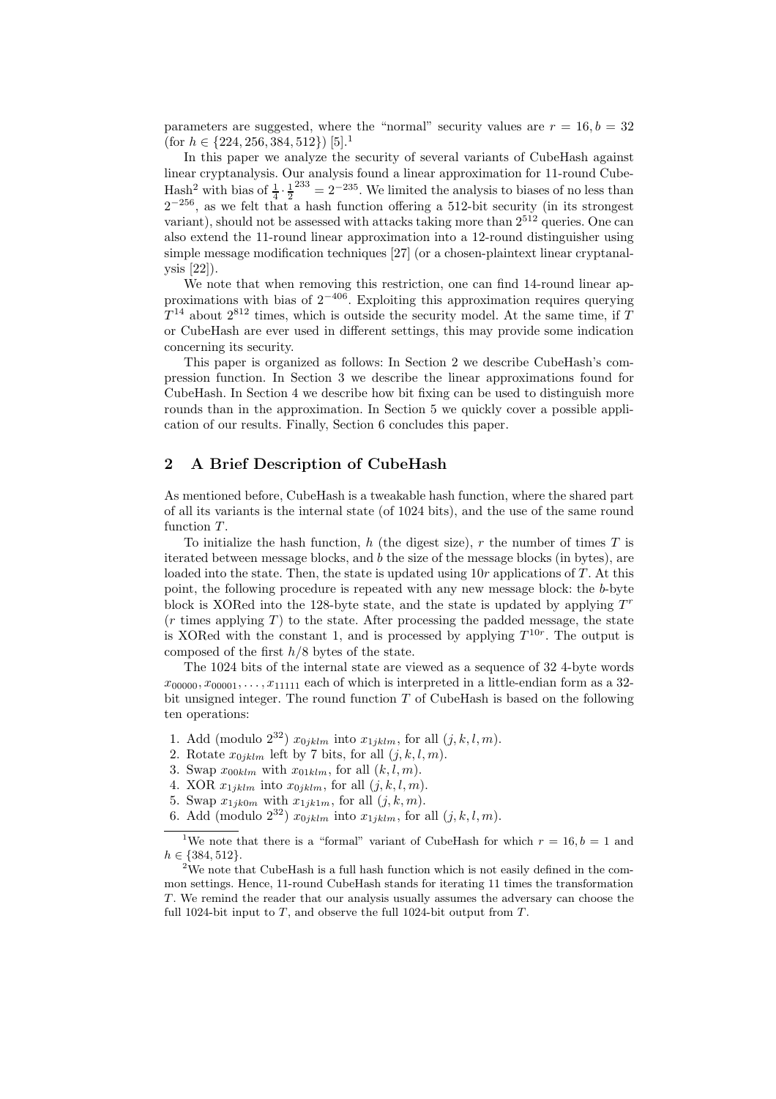parameters are suggested, where the "normal" security values are  $r = 16, b = 32$ (for  $h \in \{224, 256, 384, 512\}$ ) [5].<sup>1</sup>

In this paper we analyze the security of several variants of CubeHash against linear cryptanalysis. Our analysis found a linear approximation for 11-round Cube-Hash<sup>2</sup> with bias of  $\frac{1}{4} \cdot \frac{1}{2}^{233} = 2^{-235}$ . We limited the analysis to biases of no less than  $2^{-256}$ , as we felt that a hash function offering a 512-bit security (in its strongest variant), should not be assessed with attacks taking more than 2<sup>512</sup> queries. One can also extend the 11-round linear approximation into a 12-round distinguisher using simple message modification techniques [27] (or a chosen-plaintext linear cryptanalysis [22]).

We note that when removing this restriction, one can find 14-round linear approximations with bias of  $2^{-406}$ . Exploiting this approximation requires querying  $T^{14}$  about  $2^{812}$  times, which is outside the security model. At the same time, if T or CubeHash are ever used in different settings, this may provide some indication concerning its security.

This paper is organized as follows: In Section 2 we describe CubeHash's compression function. In Section 3 we describe the linear approximations found for CubeHash. In Section 4 we describe how bit fixing can be used to distinguish more rounds than in the approximation. In Section 5 we quickly cover a possible application of our results. Finally, Section 6 concludes this paper.

### 2 A Brief Description of CubeHash

As mentioned before, CubeHash is a tweakable hash function, where the shared part of all its variants is the internal state (of 1024 bits), and the use of the same round function  $T$ .

To initialize the hash function,  $h$  (the digest size),  $r$  the number of times  $T$  is iterated between message blocks, and b the size of the message blocks (in bytes), are loaded into the state. Then, the state is updated using  $10r$  applications of T. At this point, the following procedure is repeated with any new message block: the b-byte block is XORed into the 128-byte state, and the state is updated by applying  $T<sup>r</sup>$  $(r \times q)$  to the state. After processing the padded message, the state is XORed with the constant 1, and is processed by applying  $T^{10r}$ . The output is composed of the first  $h/8$  bytes of the state.

The 1024 bits of the internal state are viewed as a sequence of 32 4-byte words  $x_{00000}, x_{00001}, \ldots, x_{11111}$  each of which is interpreted in a little-endian form as a 32bit unsigned integer. The round function  $T$  of CubeHash is based on the following ten operations:

- 1. Add (modulo  $2^{32}$ )  $x_{0jklm}$  into  $x_{1jklm}$ , for all  $(j, k, l, m)$ .
- 2. Rotate  $x_{0ijklm}$  left by 7 bits, for all  $(j, k, l, m)$ .
- 3. Swap  $x_{00klm}$  with  $x_{01klm}$ , for all  $(k, l, m)$ .
- 4. XOR  $x_{1jklm}$  into  $x_{0jklm}$ , for all  $(j, k, l, m)$ .
- 5. Swap  $x_{1jk0m}$  with  $x_{1jk1m}$ , for all  $(j, k, m)$ .
- 6. Add (modulo  $2^{32}$ )  $x_{0iklm}$  into  $x_{1iklm}$ , for all  $(j, k, l, m)$ .

<sup>&</sup>lt;sup>1</sup>We note that there is a "formal" variant of CubeHash for which  $r = 16, b = 1$  and  $h \in \{384, 512\}.$ 

<sup>&</sup>lt;sup>2</sup>We note that CubeHash is a full hash function which is not easily defined in the common settings. Hence, 11-round CubeHash stands for iterating 11 times the transformation T. We remind the reader that our analysis usually assumes the adversary can choose the full 1024-bit input to  $T$ , and observe the full 1024-bit output from  $T$ .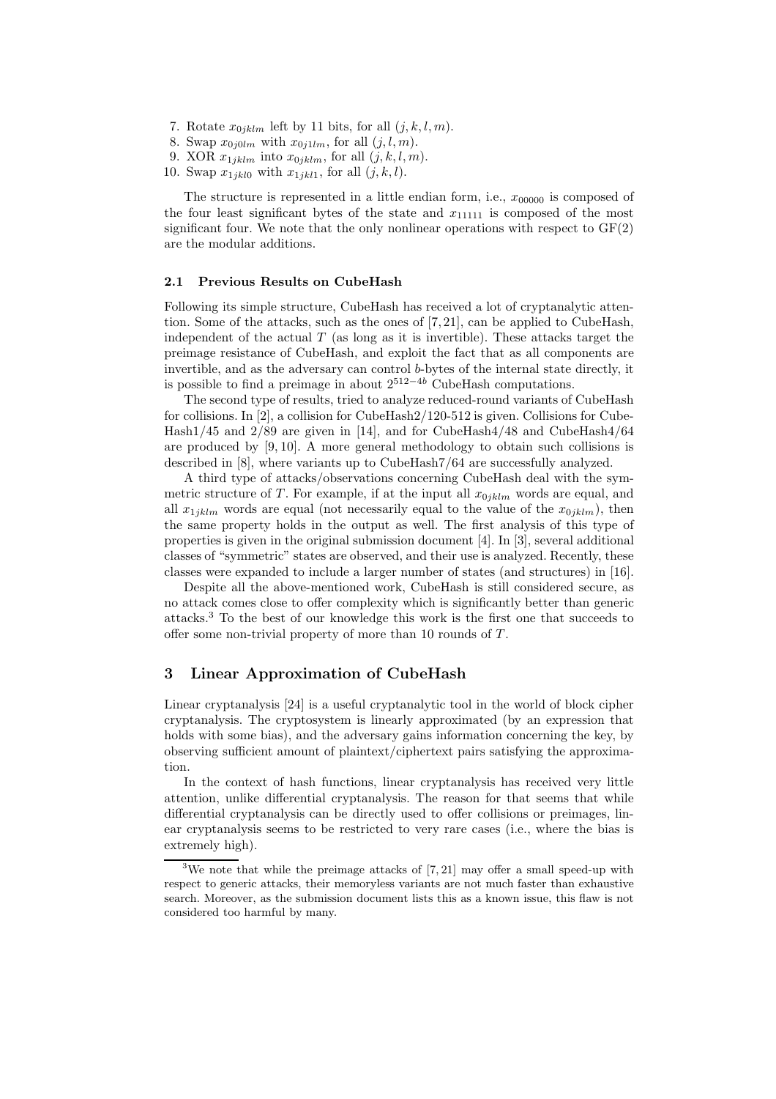- 7. Rotate  $x_{0jklm}$  left by 11 bits, for all  $(j, k, l, m)$ .
- 8. Swap  $x_{0i0lm}$  with  $x_{0i1lm}$ , for all  $(j, l, m)$ .
- 9. XOR  $x_{1jklm}$  into  $x_{0jklm}$ , for all  $(j, k, l, m)$ .
- 10. Swap  $x_{1jkl0}$  with  $x_{1jkl1}$ , for all  $(j, k, l)$ .

The structure is represented in a little endian form, i.e.,  $x_{00000}$  is composed of the four least significant bytes of the state and  $x_{11111}$  is composed of the most significant four. We note that the only nonlinear operations with respect to  $GF(2)$ are the modular additions.

#### 2.1 Previous Results on CubeHash

Following its simple structure, CubeHash has received a lot of cryptanalytic attention. Some of the attacks, such as the ones of [7, 21], can be applied to CubeHash, independent of the actual  $T$  (as long as it is invertible). These attacks target the preimage resistance of CubeHash, and exploit the fact that as all components are invertible, and as the adversary can control b-bytes of the internal state directly, it is possible to find a preimage in about  $2^{512-4b}$  CubeHash computations.

The second type of results, tried to analyze reduced-round variants of CubeHash for collisions. In [2], a collision for CubeHash2/120-512 is given. Collisions for Cube-Hash1/45 and 2/89 are given in [14], and for CubeHash4/48 and CubeHash4/64 are produced by [9, 10]. A more general methodology to obtain such collisions is described in [8], where variants up to CubeHash7/64 are successfully analyzed.

A third type of attacks/observations concerning CubeHash deal with the symmetric structure of T. For example, if at the input all  $x_{0jklm}$  words are equal, and all  $x_{1iklm}$  words are equal (not necessarily equal to the value of the  $x_{0iklm}$ ), then the same property holds in the output as well. The first analysis of this type of properties is given in the original submission document [4]. In [3], several additional classes of "symmetric" states are observed, and their use is analyzed. Recently, these classes were expanded to include a larger number of states (and structures) in [16].

Despite all the above-mentioned work, CubeHash is still considered secure, as no attack comes close to offer complexity which is significantly better than generic attacks.<sup>3</sup> To the best of our knowledge this work is the first one that succeeds to offer some non-trivial property of more than 10 rounds of  $T$ .

### 3 Linear Approximation of CubeHash

Linear cryptanalysis [24] is a useful cryptanalytic tool in the world of block cipher cryptanalysis. The cryptosystem is linearly approximated (by an expression that holds with some bias), and the adversary gains information concerning the key, by observing sufficient amount of plaintext/ciphertext pairs satisfying the approximation.

In the context of hash functions, linear cryptanalysis has received very little attention, unlike differential cryptanalysis. The reason for that seems that while differential cryptanalysis can be directly used to offer collisions or preimages, linear cryptanalysis seems to be restricted to very rare cases (i.e., where the bias is extremely high).

<sup>&</sup>lt;sup>3</sup>We note that while the preimage attacks of  $[7, 21]$  may offer a small speed-up with respect to generic attacks, their memoryless variants are not much faster than exhaustive search. Moreover, as the submission document lists this as a known issue, this flaw is not considered too harmful by many.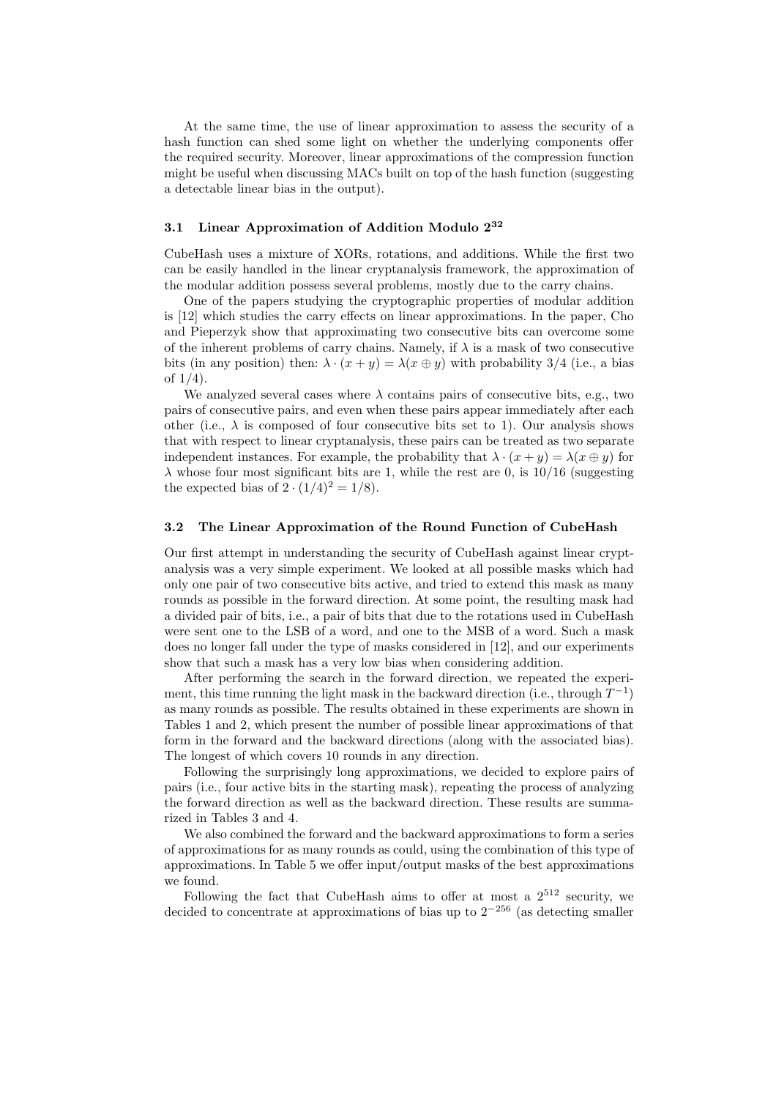At the same time, the use of linear approximation to assess the security of a hash function can shed some light on whether the underlying components offer the required security. Moreover, linear approximations of the compression function might be useful when discussing MACs built on top of the hash function (suggesting a detectable linear bias in the output).

## 3.1 Linear Approximation of Addition Modulo 2<sup>32</sup>

CubeHash uses a mixture of XORs, rotations, and additions. While the first two can be easily handled in the linear cryptanalysis framework, the approximation of the modular addition possess several problems, mostly due to the carry chains.

One of the papers studying the cryptographic properties of modular addition is [12] which studies the carry effects on linear approximations. In the paper, Cho and Pieperzyk show that approximating two consecutive bits can overcome some of the inherent problems of carry chains. Namely, if  $\lambda$  is a mask of two consecutive bits (in any position) then:  $\lambda \cdot (x + y) = \lambda(x \oplus y)$  with probability 3/4 (i.e., a bias of 1/4).

We analyzed several cases where  $\lambda$  contains pairs of consecutive bits, e.g., two pairs of consecutive pairs, and even when these pairs appear immediately after each other (i.e.,  $\lambda$  is composed of four consecutive bits set to 1). Our analysis shows that with respect to linear cryptanalysis, these pairs can be treated as two separate independent instances. For example, the probability that  $\lambda \cdot (x + y) = \lambda (x \oplus y)$  for  $\lambda$  whose four most significant bits are 1, while the rest are 0, is 10/16 (suggesting the expected bias of  $2 \cdot (1/4)^2 = 1/8$ .

#### 3.2 The Linear Approximation of the Round Function of CubeHash

Our first attempt in understanding the security of CubeHash against linear cryptanalysis was a very simple experiment. We looked at all possible masks which had only one pair of two consecutive bits active, and tried to extend this mask as many rounds as possible in the forward direction. At some point, the resulting mask had a divided pair of bits, i.e., a pair of bits that due to the rotations used in CubeHash were sent one to the LSB of a word, and one to the MSB of a word. Such a mask does no longer fall under the type of masks considered in [12], and our experiments show that such a mask has a very low bias when considering addition.

After performing the search in the forward direction, we repeated the experiment, this time running the light mask in the backward direction (i.e., through  $T^{-1}$ ) as many rounds as possible. The results obtained in these experiments are shown in Tables 1 and 2, which present the number of possible linear approximations of that form in the forward and the backward directions (along with the associated bias). The longest of which covers 10 rounds in any direction.

Following the surprisingly long approximations, we decided to explore pairs of pairs (i.e., four active bits in the starting mask), repeating the process of analyzing the forward direction as well as the backward direction. These results are summarized in Tables 3 and 4.

We also combined the forward and the backward approximations to form a series of approximations for as many rounds as could, using the combination of this type of approximations. In Table 5 we offer input/output masks of the best approximations we found.

Following the fact that CubeHash aims to offer at most a  $2^{512}$  security, we decided to concentrate at approximations of bias up to  $2^{-256}$  (as detecting smaller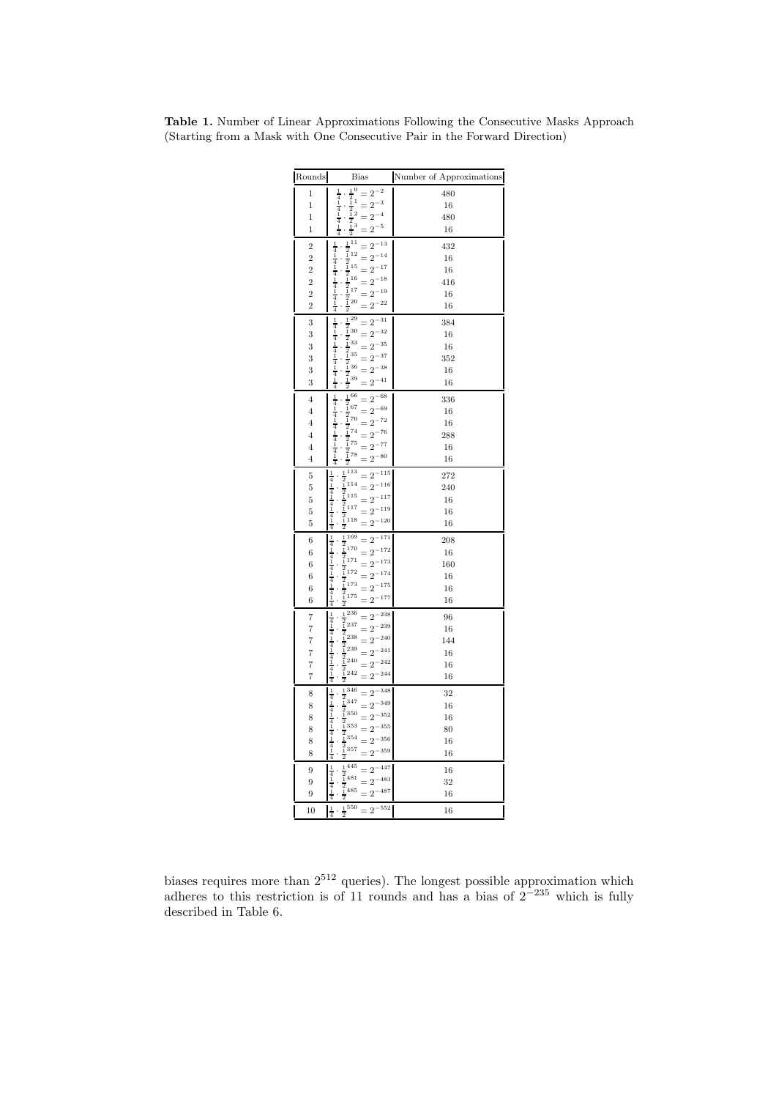| Rounds            | <b>Bias</b>                                                                                                                                                                | $\hbox{Number of Approximations}$ |
|-------------------|----------------------------------------------------------------------------------------------------------------------------------------------------------------------------|-----------------------------------|
| $\mathbf 1$       | $\begin{array}{c}\n1 & 0 \\ 2 & 1 \\ 1 & 1\n\end{array}$<br>$=2^{-2}$                                                                                                      | 480                               |
| 1                 | $\frac{1}{4}$<br>$=2^{-3}$                                                                                                                                                 | 16                                |
| $\mathbf 1$       | $\frac{4}{1}$<br>$=2^{-4}$                                                                                                                                                 | 480                               |
| $\overline{1}$    | $\frac{1}{2}$<br>$\frac{1}{2}$<br>$\frac{1}{2}$<br>$\frac{1}{2}$<br>$=2^{-5}$                                                                                              | 16                                |
| $\overline{2}$    | $\frac{1}{2}^{11}$<br>$=2^{-13}$                                                                                                                                           | 432                               |
| $\overline{2}$    | $\frac{1}{4}$ $\frac{1}{4}$ $\frac{1}{1}$<br>$=2^{-14}$                                                                                                                    | 16                                |
| $\overline{2}$    | $\frac{2}{2}$<br>$\frac{1}{2}$<br>$\frac{1}{2}$<br>$\frac{1}{2}$<br>$\frac{1}{16}$<br>$=2^{-17}$                                                                           | 16                                |
| $\overline{2}$    | $\frac{4}{1}$<br>$16\,$<br>$=2^{-18}$                                                                                                                                      | 416                               |
| $\overline{2}$    | $=2^{-19}$                                                                                                                                                                 | 16                                |
| $\overline{2}$    | $\begin{array}{r} 2 \overline{1} 16 \\ -\overline{2} 17 \\ -\overline{2} 20 \\ -\overline{2} \end{array}$<br>$\frac{4}{1}$<br>$= 2^{-22}$                                  | 16                                |
| 3                 | $\cdot \frac{1}{2} \frac{29}{30}$<br>$\cdot \frac{1}{2} \frac{30}{2}$<br>$\frac{1}{4}$<br>$=2^{-31}$                                                                       | 384                               |
| 3                 | $=2^{-32}$                                                                                                                                                                 | 16                                |
| 3                 | $\frac{1}{4}$<br>$=2^{-35}$                                                                                                                                                | 16                                |
| 3                 | $\frac{1}{2}$ 33<br>$\frac{1}{1}$ 35<br>$\overline{4}$<br>$=2^{-37}$                                                                                                       | 352                               |
| 3                 | $\frac{1}{4}$<br>$=2^{-38}$                                                                                                                                                | 16                                |
|                   | $\frac{4}{1}$                                                                                                                                                              |                                   |
| 3                 | $\cdot \frac{\frac{1}{2}}{\frac{1}{2}}$ 36<br>$\cdot \frac{\frac{1}{2}}{\frac{1}{2}}$ 39<br>$=2^{-41}$                                                                     | 16                                |
| $\,4$             | $\frac{1}{2}\frac{66}{67}$<br>$\begin{array}{c} 1 \\ 4 \\ 1 \end{array}$<br>$=2^{-68}$                                                                                     | 336                               |
| $\overline{4}$    | $=2^{-69}$                                                                                                                                                                 | 16                                |
| $\overline{4}$    | $\begin{array}{c} 4 \\ 1 \\ 4 \\ 1 \end{array}$<br>$=2^{-72}$                                                                                                              | 16                                |
| 4                 | $=2^{-76}$                                                                                                                                                                 | 288                               |
| $\overline{4}$    | $\cdot \frac{1}{2} \cdot 70 \\ \cdot \frac{1}{2} \cdot 74 \\ \cdot \frac{1}{2} \cdot 75 \\ \cdot \frac{1}{2} \cdot 78 \\ \cdot \frac{1}{2}$<br>$\frac{4}{1}$<br>$=2^{-77}$ | 16                                |
| $\overline{4}$    | $=2^{-80}$<br>$\cdot \frac{1}{2}$<br>4                                                                                                                                     | 16                                |
| 5                 | 1113<br>$=2^{-115}$<br>$\mathbf{1}$<br>$\overline{4}$<br>$\frac{2}{1}$ 114                                                                                                 | 272                               |
| 5                 | $=2^{-116}$<br>$\frac{1}{2}$ <sub>115</sub><br>$\overline{4}$                                                                                                              | 240                               |
| $\bf 5$           | $\mathbf{1}$<br>$=2^{-117}$<br>$\frac{4}{1}$<br>$\frac{2}{1}$ 117                                                                                                          | 16                                |
| 5                 | $=2^{-119}$                                                                                                                                                                | 16                                |
| 5                 | $\frac{4}{4}$<br>$\frac{2}{1}$ 118<br>$=2^{-120}$                                                                                                                          | 16                                |
| $\boldsymbol{6}$  | $\begin{array}{l}\n \frac{1}{2} & 169 \\  \frac{1}{2} & 170\n \end{array}$<br>$\begin{array}{c} 1 \\ 4 \\ 1 \end{array}$<br>$=2^{-171}$                                    | 208                               |
| 6                 | $=2^{-172}$<br>$\overline{4}$                                                                                                                                              | 16                                |
| $\,$ 6 $\,$       | $\begin{array}{c} \frac{1}{2} \\ 1 \\ 1 \\ 2 \\ 1 \end{array}$<br>$=2^{-173}$<br>$\frac{1}{4}$                                                                             | 160                               |
| 6                 | $\mathbf{i}$<br>$=2^{-174}$                                                                                                                                                | 16                                |
| $\,$ 6 $\,$       | $\frac{4}{1}$<br>$\frac{2}{1}$ 173<br>$=2^{-175}$                                                                                                                          | 16                                |
| 6                 | $\begin{array}{@{}c@{\hspace{1em}}c@{\hspace{1em}}c}\n & \frac{1}{2} \\  & \frac{1}{2} \\  & \frac{2}{2} \\  \hline\n & 36\n \end{array}$<br>$=2^{-177}$<br>4              | 16                                |
| $\overline{7}$    | $\frac{1}{2}\frac{236}{237}$<br>$\frac{1}{4}$<br>$=2^{-238}$                                                                                                               | 96                                |
| $\overline{7}$    | $=2^{-239}$<br>1<br>$\overline{4}$                                                                                                                                         | 16                                |
| $\scriptstyle{7}$ | $\frac{1}{2}$<br>$\frac{1}{2}$<br>$\frac{238}{1}$<br>$\frac{239}{1}$<br>$\overline{1}$<br>$=2^{-240}$                                                                      | 144                               |
| $\overline{7}$    | $\frac{4}{1}$<br>$=2^{-241}$                                                                                                                                               | 16                                |
| $\scriptstyle{7}$ | $\frac{1}{2}$ $\frac{1}{2}$ $\frac{1}{2}$ $\frac{2}{4}$ $\frac{1}{2}$<br>$=2^{-242}$                                                                                       | 16                                |
| $\scriptstyle{7}$ | $\frac{4}{1}$<br>$=2^{-244}$<br>$\frac{1}{2}$                                                                                                                              | 16                                |
| 8                 | $\frac{1}{2}$ 346<br>$\frac{2}{1}$ 347<br>$\frac{1}{4}$<br>$=2^{-348}$                                                                                                     | 32                                |
| 8                 | $\mathbf{1}$<br>$=2^{-349}$                                                                                                                                                | 16                                |
| 8                 | 4<br>$\frac{2}{1}$ 350<br>$\overline{1}$<br>$=2^{-352}$                                                                                                                    | 16                                |
| 8                 | $\frac{1}{2}$ 353<br>$\frac{1}{2}$ 354<br>$\overline{4}$<br>$=2^{-355}$                                                                                                    | 80                                |
| 8                 | $\frac{1}{4}$<br>$=2^{-356}$                                                                                                                                               | 16                                |
| 8                 | $\frac{4}{1}$<br>$\begin{smallmatrix}2\cr 1\cr 1\end{smallmatrix}$ 357<br>$=2^{-359}$                                                                                      | 16                                |
| 9                 | $\frac{1}{2}\frac{445}{481}$<br>$=2^{-447}$                                                                                                                                | 16                                |
| 9                 | $\frac{1}{4}$<br>$=2^{-483}$                                                                                                                                               | 32                                |
| 9                 | $\frac{4}{1}$<br>$\frac{2}{1}$ 485<br>$=2^{-487}$                                                                                                                          | 16                                |
|                   | $\frac{1}{2}^{550} = 2^{-552}$                                                                                                                                             |                                   |
| 10                | $\perp$ .<br>$\overline{2}$<br>$\boldsymbol{\Lambda}$                                                                                                                      | 16                                |

Table 1. Number of Linear Approximations Following the Consecutive Masks Approach (Starting from a Mask with One Consecutive Pair in the Forward Direction)

biases requires more than  $2^{512}$  queries). The longest possible approximation which adheres to this restriction is of 11 rounds and has a bias of  $2^{-235}$  which is fully described in Table 6.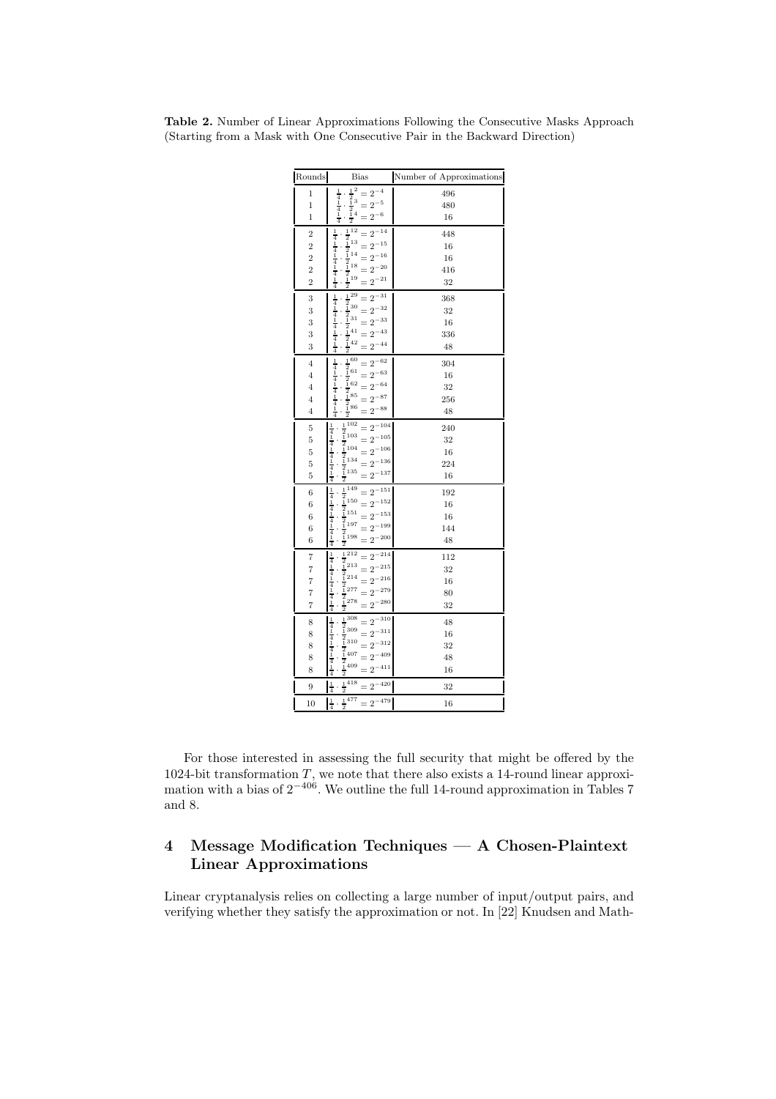| Rounds           | Bias                                                                                                                                                                                                                                                                                                                                                                                                                                                                                                                                     | Number of Approximations |
|------------------|------------------------------------------------------------------------------------------------------------------------------------------------------------------------------------------------------------------------------------------------------------------------------------------------------------------------------------------------------------------------------------------------------------------------------------------------------------------------------------------------------------------------------------------|--------------------------|
| 1                | $\frac{1}{4}$<br>$=2^{-4}$                                                                                                                                                                                                                                                                                                                                                                                                                                                                                                               | 496                      |
| 1                | $=2^{-5}$                                                                                                                                                                                                                                                                                                                                                                                                                                                                                                                                | 480                      |
| 1                | $\begin{array}{c} \frac{1}{2} \\ \frac{1}{2} \\ \frac{1}{2} \\ \frac{1}{2} \end{array}$<br>$\frac{4}{1}$<br>$=2^{-6}\,$                                                                                                                                                                                                                                                                                                                                                                                                                  | 16                       |
| $\overline{2}$   | $\overline{1}\,12$<br>$=2^{-14}$                                                                                                                                                                                                                                                                                                                                                                                                                                                                                                         | 448                      |
| $\overline{2}$   | $=2^{-15}$                                                                                                                                                                                                                                                                                                                                                                                                                                                                                                                               | 16                       |
| $\overline{2}$   | $^{\rm 14}$ = $2^{-16}$                                                                                                                                                                                                                                                                                                                                                                                                                                                                                                                  | 16                       |
| $\overline{2}$   | $=2^{-20}$                                                                                                                                                                                                                                                                                                                                                                                                                                                                                                                               | 416                      |
| $\overline{2}$   | $\frac{1}{4}$ $\frac{1}{4}$ $\frac{1}{4}$ $\frac{1}{4}$ $\frac{1}{4}$ $\frac{1}{4}$<br>$\begin{array}{r} 1 \\ \frac{1}{2} \\ \frac{1}{2} \\ \frac{1}{2} \\ \frac{1}{2} \\ \frac{1}{2} \\ \frac{1}{2} \\ \frac{1}{2} \\ \frac{1}{2} \\ \frac{1}{2} \\ \frac{1}{2} \\ \frac{1}{2} \\ \frac{1}{2} \\ \frac{1}{2} \\ \frac{1}{2} \\ \frac{1}{2} \\ \frac{1}{2} \\ \frac{1}{2} \\ \frac{1}{2} \\ \frac{1}{2} \\ \frac{1}{2} \\ \frac{1}{2} \\ \frac{1}{2} \\ \frac{1}{2} \\ \frac{1}{2} \\ \frac{1}{2} \\ \frac{1}{2} \\ \frac$<br>$=2^{-21}$ | 32                       |
| 3                | $\begin{array}{r} 12\frac{1}{2} \\ \frac{1}{2} \\ \frac{1}{2} \\ \frac{1}{2} \\ \frac{1}{2} \\ \frac{1}{2} \\ \frac{1}{2} \\ \frac{1}{3} \\ \frac{1}{3} \\ \frac{1}{3} \\ \frac{1}{3} \\ \frac{1}{3} \\ \frac{1}{3} \\ \frac{1}{3} \\ \frac{1}{3} \\ \frac{1}{3} \\ \frac{1}{3} \\ \frac{1}{3} \\ \frac{1}{3} \\ \frac{1}{3} \\ \frac{1}{3} \\ \frac{1}{3} \\ \frac{1}{3} \\ \frac{1}{3} \\ \frac{1}{3} \\ \frac{1}{3} \\ \frac$<br>$=2^{-31}$                                                                                           | 368                      |
| 3                | $=2^{-32}$                                                                                                                                                                                                                                                                                                                                                                                                                                                                                                                               | 32                       |
| 3                | $=2^{-33}$                                                                                                                                                                                                                                                                                                                                                                                                                                                                                                                               | 16                       |
| 3                | $=2^{-43}$                                                                                                                                                                                                                                                                                                                                                                                                                                                                                                                               | 336                      |
| 3                | $\frac{1}{4}$ $\frac{1}{4}$ $\frac{1}{4}$ $\frac{1}{4}$ $\frac{1}{4}$ $\frac{1}{4}$<br>$=2^{-44}$                                                                                                                                                                                                                                                                                                                                                                                                                                        | 48                       |
| $\overline{4}$   | $\cdot \frac{1}{2} \frac{60}{61}$<br>$\cdot \frac{1}{2} \frac{61}{62}$<br>$=2^{-62}$                                                                                                                                                                                                                                                                                                                                                                                                                                                     | 304                      |
| $\overline{4}$   | $=2^{-63}$                                                                                                                                                                                                                                                                                                                                                                                                                                                                                                                               | 16                       |
| $\overline{4}$   | $=2^{-64}$                                                                                                                                                                                                                                                                                                                                                                                                                                                                                                                               | 32                       |
| $\overline{4}$   | $=2^{-87}$                                                                                                                                                                                                                                                                                                                                                                                                                                                                                                                               | 256                      |
| $\overline{4}$   | $\frac{1}{4}$ $\frac{1}{4}$ $\frac{1}{4}$ $\frac{1}{4}$ $\frac{1}{4}$ $\frac{1}{4}$<br>$\cdot \frac{\frac{1}{2}}{\frac{1}{2}} \cdot 85$<br>$\cdot \frac{\frac{1}{2}}{\frac{2}{\sqrt{2}}}$<br>$=2^{-88}$                                                                                                                                                                                                                                                                                                                                  | 48                       |
| 5                | $\begin{array}{r} \frac{1}{2} \\ \frac{1}{2} \\ \frac{1}{2} \\ 104 \end{array}$<br>$=2^{-104}$                                                                                                                                                                                                                                                                                                                                                                                                                                           | 240                      |
| 5                | $=2^{-105}$                                                                                                                                                                                                                                                                                                                                                                                                                                                                                                                              | 32                       |
| $\overline{5}$   | $=2^{-106}$                                                                                                                                                                                                                                                                                                                                                                                                                                                                                                                              | 16                       |
| 5                | $\frac{1}{2}$<br>$\frac{1}{2}$<br>$\frac{1}{2}$<br>$\frac{2}{1}$<br>35<br>$=2^{-136}$                                                                                                                                                                                                                                                                                                                                                                                                                                                    | 224                      |
| $\overline{5}$   | $\frac{1}{4}$ $\frac{1}{4}$ $\frac{1}{4}$ $\frac{1}{4}$ $\frac{1}{4}$ $\frac{1}{4}$<br>$=2^{-137}$<br>$\overline{2}$                                                                                                                                                                                                                                                                                                                                                                                                                     | 16                       |
| $\boldsymbol{6}$ | $\begin{array}{r} 2 \\ \frac{1}{2} \\ \frac{1}{2} \\ \frac{1}{2} \\ \frac{1}{2} \\ \frac{1}{2} \\ \frac{1}{2} \\ \frac{1}{2} \\ \frac{1}{2} \\ \frac{1}{2} \\ \frac{1}{2} \\ \frac{1}{2} \\ \frac{1}{2} \\ \frac{1}{2} \\ \frac{1}{2} \\ \frac{1}{2} \\ \frac{1}{2} \\ \frac{1}{2} \\ \frac{1}{2} \\ \frac{1}{2} \\ \frac{1}{2} \\ \frac{1}{2} \\ \frac{1}{2} \\ \frac{1}{2} \\ \frac{1}{2} \\ \frac{1}{2} \\ \frac{1}{2} \\ \frac$<br>$=2^{-151}$                                                                                       | 192                      |
| 6                | $=2^{-152}$                                                                                                                                                                                                                                                                                                                                                                                                                                                                                                                              | 16                       |
| 6                | $=2^{-153}$<br>$\ddot{\phantom{0}}$                                                                                                                                                                                                                                                                                                                                                                                                                                                                                                      | 16                       |
| 6                | $=2^{-199}$                                                                                                                                                                                                                                                                                                                                                                                                                                                                                                                              | 144                      |
| 6                | $\frac{1}{4}$ $\frac{1}{4}$ $\frac{1}{4}$ $\frac{1}{4}$ $\frac{1}{4}$ $\frac{1}{4}$<br>$=2^{-200}$<br>$\overline{2}$                                                                                                                                                                                                                                                                                                                                                                                                                     | 48                       |
| $\overline{7}$   | $\frac{1}{2}\begin{array}{c} 212 \\ 213 \end{array}$<br>$=2^{-214}$                                                                                                                                                                                                                                                                                                                                                                                                                                                                      | 112                      |
| 7                | $=2^{-215}$                                                                                                                                                                                                                                                                                                                                                                                                                                                                                                                              | 32                       |
| 7                | $\frac{2}{1}$ 214<br>$=2^{-216}$                                                                                                                                                                                                                                                                                                                                                                                                                                                                                                         | 16                       |
| 7                | $=2^{-279}$                                                                                                                                                                                                                                                                                                                                                                                                                                                                                                                              | 80                       |
| 7                | $\frac{1}{4}$ $\frac{1}{4}$ $\frac{1}{4}$ $\frac{1}{4}$ $\frac{1}{4}$ $\frac{1}{4}$<br>$\begin{array}{r}\n\frac{1}{2} \\ \frac{1}{2}277 \\ \frac{1}{2}278 \\ \hline\n\end{array}$<br>$=2^{-280}$                                                                                                                                                                                                                                                                                                                                         | 32                       |
| 8                | $\frac{1}{2}\frac{308}{309}$<br>$=2^{-310}$                                                                                                                                                                                                                                                                                                                                                                                                                                                                                              | 48                       |
| 8                | $=2^{-311}$                                                                                                                                                                                                                                                                                                                                                                                                                                                                                                                              | 16                       |
| 8                | $\begin{smallmatrix}2\1\310\end{smallmatrix}$<br>$=2^{-312}$                                                                                                                                                                                                                                                                                                                                                                                                                                                                             | 32                       |
| 8                | $=2^{-409}$                                                                                                                                                                                                                                                                                                                                                                                                                                                                                                                              | 48                       |
| 8                | $\frac{1}{4}$ $\frac{1}{4}$ $\frac{1}{4}$ $\frac{1}{4}$ $\frac{1}{4}$ $\frac{1}{4}$<br>$\frac{1}{2}$ 407<br>$\frac{1}{2}$ 409<br>$=2^{-411}$                                                                                                                                                                                                                                                                                                                                                                                             | 16                       |
| 9                | . $\frac{1}{2}^{\overline{418}} = 2^{-420}$<br>$\frac{1}{4}$                                                                                                                                                                                                                                                                                                                                                                                                                                                                             | 32                       |
| 10               | $\frac{1}{2}^{477} = 2^{-479}$<br>$\frac{1}{s}$<br>$\overline{2}$<br>4                                                                                                                                                                                                                                                                                                                                                                                                                                                                   | 16                       |

Table 2. Number of Linear Approximations Following the Consecutive Masks Approach (Starting from a Mask with One Consecutive Pair in the Backward Direction)

For those interested in assessing the full security that might be offered by the -bit transformation T, we note that there also exists a 14-round linear approximation with a bias of  $2^{-406}$ . We outline the full 14-round approximation in Tables 7 and 8.

# 4 Message Modification Techniques — A Chosen-Plaintext Linear Approximations

Linear cryptanalysis relies on collecting a large number of input/output pairs, and verifying whether they satisfy the approximation or not. In [22] Knudsen and Math-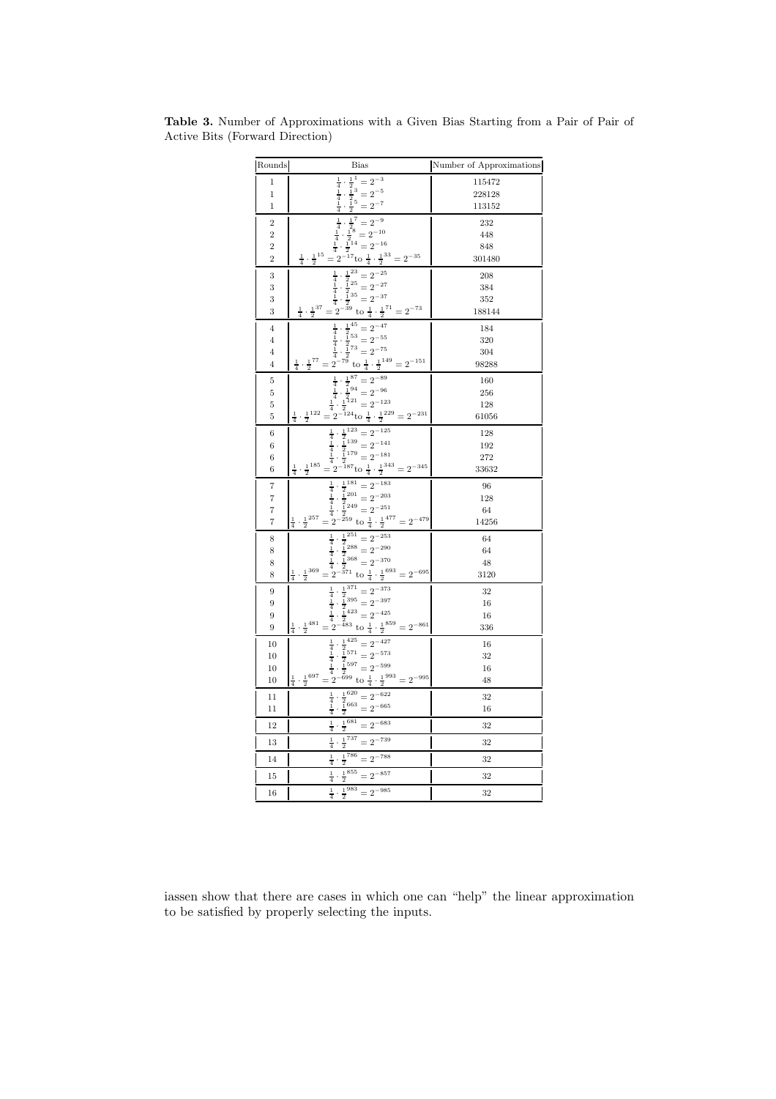| Rounds                  | <b>Bias</b>                                                                                                                                                                                                                                                                                                                  | Number of Approximations |
|-------------------------|------------------------------------------------------------------------------------------------------------------------------------------------------------------------------------------------------------------------------------------------------------------------------------------------------------------------------|--------------------------|
| $\mathbf 1$             |                                                                                                                                                                                                                                                                                                                              | 115472                   |
| $\mathbf 1$             |                                                                                                                                                                                                                                                                                                                              | 228128                   |
| $\mathbf 1$             | $\frac{1}{2}$ $\frac{1}{2}$ $\frac{1}{3}$ $\frac{1}{2}$ $\frac{3}{2}$ $\frac{1}{2}$ $\frac{5}{2}$ $\frac{1}{2}$ $\frac{5}{2}$ $\frac{1}{2}$<br>$\frac{1}{4}$ $\frac{1}{4}$ $\frac{1}{4}$                                                                                                                                     | 113152                   |
| $\overline{2}$          | $\begin{array}{r} \frac{1}{4} \\ \frac{1}{4} \\ \frac{1}{4} \\ \end{array}$                                                                                                                                                                                                                                                  | 232                      |
| $\overline{2}$          |                                                                                                                                                                                                                                                                                                                              | 448                      |
| $\overline{2}$          |                                                                                                                                                                                                                                                                                                                              | 848                      |
| $\overline{2}$          | $\begin{array}{c} \frac{1}{4} \cdot \frac{1}{2}^7 = 2^{-9} \\ \frac{1}{4} \cdot \frac{1}{2}^8 = 2^{-10} \\ \frac{1}{4} \cdot \frac{1}{2}^{14} = 2^{-16} \\ \frac{1}{4} \cdot \frac{1}{2}^{15} = 2^{-17} t \omega \frac{1}{4} \cdot \frac{1}{2}^{33} = 2^{-35} \end{array}$                                                   | 301480                   |
| 3                       |                                                                                                                                                                                                                                                                                                                              | 208                      |
| 3                       |                                                                                                                                                                                                                                                                                                                              | 384                      |
| 3                       |                                                                                                                                                                                                                                                                                                                              | 352                      |
| 3                       | $\frac{1}{4} \cdot \frac{1}{2}^{23} = 2^{-25}$<br>$\frac{1}{4} \cdot \frac{1}{2}^{25} = 2^{-27}$<br>$\frac{1}{4} \cdot \frac{1}{2}^{35} = 2^{-37}$<br>$\frac{1}{4} \cdot \frac{1}{2}^{37} = 2^{-39}$ to $\frac{1}{4} \cdot \frac{1}{2}^{71} = 2^{-73}$                                                                       | 188144                   |
| $\overline{\mathbf{4}}$ | $\frac{1}{4} \cdot \frac{1}{2}^{45} = 2^{-47}$<br>$\frac{1}{4} \cdot \frac{1}{2}^{53} = 2^{-55}$<br>$\frac{1}{4} \cdot \frac{1}{2}^{73} = 2^{-75}$<br>$\frac{1}{4} \cdot \frac{1}{2}^{77} = 2^{-79}$ to $\frac{1}{4} \cdot \frac{1}{2}^{149} = 2^{-151}$                                                                     | 184                      |
| $\overline{4}$          |                                                                                                                                                                                                                                                                                                                              | 320                      |
| 4                       |                                                                                                                                                                                                                                                                                                                              | 304                      |
| $\overline{4}$          |                                                                                                                                                                                                                                                                                                                              | 98288                    |
| 5                       |                                                                                                                                                                                                                                                                                                                              | 160                      |
| 5                       |                                                                                                                                                                                                                                                                                                                              | 256                      |
| 5                       |                                                                                                                                                                                                                                                                                                                              | 128                      |
| 5                       | $\frac{1}{4} \cdot \frac{1}{2}^{87} = 2^{-89}$<br>$\frac{1}{4} \cdot \frac{1}{2}^{94} = 2^{-96}$<br>$\frac{1}{4} \cdot \frac{1}{2}^{121} = 2^{-123}$<br>$\frac{1}{4} \cdot \frac{1}{2}^{122} = 2^{-124}$ to $\frac{1}{4} \cdot \frac{1}{2}^{229} = 2^{-231}$                                                                 | 61056                    |
| $\,6$                   |                                                                                                                                                                                                                                                                                                                              | 128                      |
| 6                       |                                                                                                                                                                                                                                                                                                                              | 192                      |
| 6                       |                                                                                                                                                                                                                                                                                                                              | 272                      |
| 6                       | $\frac{1}{4} \cdot \frac{1}{2}^{123} = 2^{-125}$<br>$\frac{1}{4} \cdot \frac{1}{2}^{139} = 2^{-141}$<br>$\frac{1}{4} \cdot \frac{1}{2}^{179} = 2^{-181}$<br>$\frac{1}{4} \cdot \frac{1}{2}^{185} = 2^{-187} \text{to } \frac{1}{4} \cdot \frac{1}{2}^{343} = 2^{-345}$                                                       | 33632                    |
| $\scriptstyle{7}$       |                                                                                                                                                                                                                                                                                                                              | 96                       |
| $\overline{7}$          |                                                                                                                                                                                                                                                                                                                              | 128                      |
| $\scriptstyle{7}$       |                                                                                                                                                                                                                                                                                                                              | 64                       |
| $\overline{7}$          | $\frac{\frac{1}{4} \cdot \frac{1}{2}^{181}}{\frac{1}{4} \cdot \frac{1}{2}^{201}} = 2^{-183}$ $\frac{1}{4} \cdot \frac{1}{2}^{249} = 2^{-251}$ $\frac{1}{4} \cdot \frac{1}{2}^{257} = 2^{-259}$ to $\frac{1}{4} \cdot \frac{1}{2}^{477} = 2^{-479}$                                                                           | 14256                    |
| 8                       |                                                                                                                                                                                                                                                                                                                              | 64                       |
| 8                       |                                                                                                                                                                                                                                                                                                                              | 64                       |
| 8                       |                                                                                                                                                                                                                                                                                                                              | 48                       |
| 8                       | $\frac{1}{4} \cdot \frac{1}{2} \cdot \frac{251}{2} = 2 \cdot \frac{253}{4}$<br>$\frac{1}{4} \cdot \frac{2}{2} \cdot \frac{258}{3} = 2 \cdot \frac{-290}{3}$<br>$\frac{1}{4} \cdot \frac{1}{2} \cdot \frac{368}{2} = 2 \cdot \frac{-370}{4}$<br>$\frac{1}{4} \cdot \frac{1}{2} \cdot \frac{3693}{2} = 2 \cdot \frac{-695}{4}$ | 3120                     |
| 9                       |                                                                                                                                                                                                                                                                                                                              | 32                       |
| 9                       |                                                                                                                                                                                                                                                                                                                              | 16                       |
| $\boldsymbol{9}$        |                                                                                                                                                                                                                                                                                                                              | 16                       |
| 9                       | $rac{1}{4} \cdot \frac{1}{2} \cdot \frac{371}{2} = 2^{-373}$<br>$rac{1}{4} \cdot \frac{1}{2} \cdot \frac{395}{2} = 2^{-397}$<br>$rac{1}{4} \cdot \frac{1}{2} \cdot \frac{423}{2} = 2^{-425}$<br>$rac{1}{4} \cdot \frac{1}{2} \cdot \frac{481}{2} = 2^{-483}$ to $rac{1}{4} \cdot \frac{1}{2} \cdot \frac{859}{2} = 2^{-861}$ | 336                      |
| 10                      |                                                                                                                                                                                                                                                                                                                              | 16                       |
| 10                      |                                                                                                                                                                                                                                                                                                                              | 32                       |
| 10                      |                                                                                                                                                                                                                                                                                                                              | 16                       |
| 10                      | $\frac{1}{4} \cdot \frac{1}{2}^{425} = 2^{-427}$ $\frac{1}{4} \cdot \frac{1}{2}^{571} = 2^{-573}$ $\frac{1}{4} \cdot \frac{1}{2}^{597} = 2^{-599}$ $\frac{1}{4} \cdot \frac{1}{2}^{699} = 2^{-699}$ to $\frac{1}{4} \cdot \frac{1}{2}^{993} = 2^{-995}$                                                                      | 48                       |
| $^{11}$                 |                                                                                                                                                                                                                                                                                                                              | 32                       |
| 11                      | $\frac{1}{4} \cdot \frac{1}{2}^{620} = 2^{-622}$<br>$\frac{1}{4} \cdot \frac{1}{2}^{663} = 2^{-665}$                                                                                                                                                                                                                         | 16                       |
| 12                      | $\frac{1}{4} \cdot \frac{1}{2}^{681} = 2^{-683}$                                                                                                                                                                                                                                                                             | 32                       |
| 13                      | $\frac{1}{4} \cdot \frac{1}{2}^{737} = 2^{-739}$                                                                                                                                                                                                                                                                             | 32                       |
| 14                      | $\frac{1}{4} \cdot \frac{1}{2}^{786} = 2^{-788}$                                                                                                                                                                                                                                                                             | 32                       |
| 15                      | $\frac{1}{4} \cdot \frac{1}{2}^{855} = 2^{-857}$                                                                                                                                                                                                                                                                             | 32                       |
| 16                      | $\frac{1}{4} \cdot \frac{1}{2}^{983} = 2^{-985}$                                                                                                                                                                                                                                                                             | 32                       |

Table 3. Number of Approximations with a Given Bias Starting from a Pair of Pair of Active Bits (Forward Direction)

iassen show that there are cases in which one can "help" the linear approximation to be satisfied by properly selecting the inputs.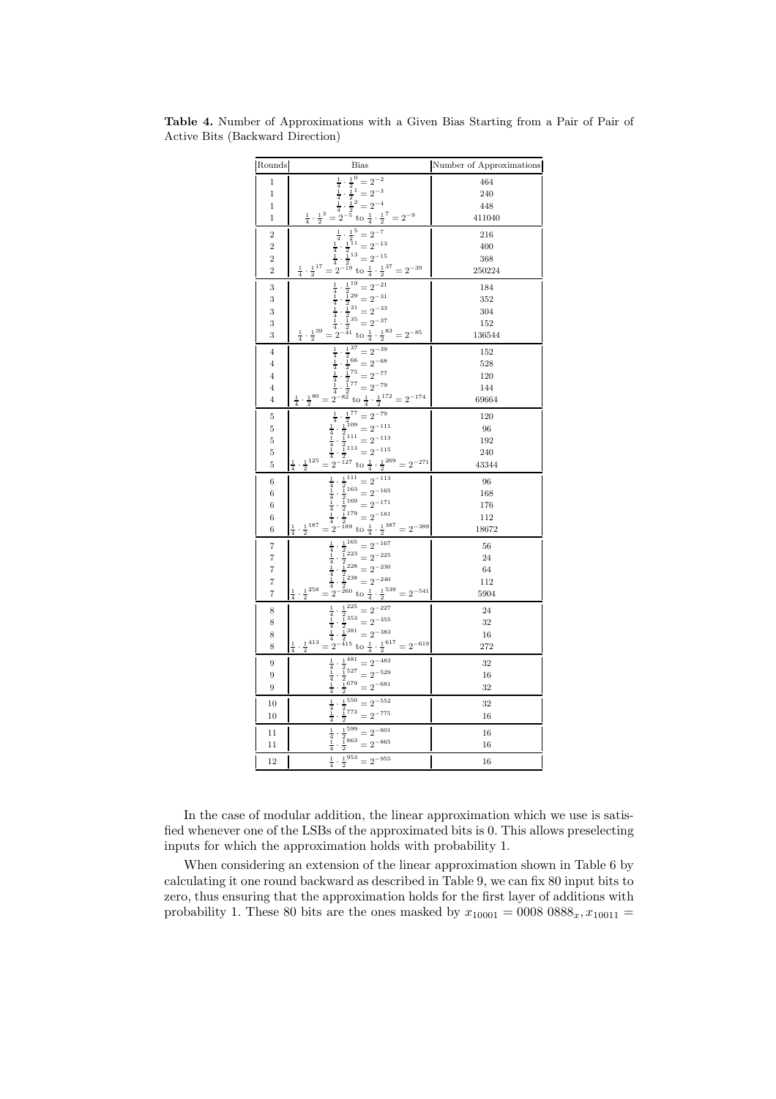| Rounds                       | Bias                                                                                                                                                                                                                                                                                                                                                                                                       | Number of Approximations |
|------------------------------|------------------------------------------------------------------------------------------------------------------------------------------------------------------------------------------------------------------------------------------------------------------------------------------------------------------------------------------------------------------------------------------------------------|--------------------------|
| $\,1$                        | $\begin{array}{r} \frac{1}{4} \cdot \frac{1}{2}^{0} = 2^{-2} \\ \frac{1}{4} \cdot \frac{1}{2}^{1} = 2^{-3} \\ \frac{1}{4} \cdot \frac{1}{2}^{2} = 2^{-4} \\ \frac{1}{2} \cdot \frac{1}{2}^{3} = 2^{-5} \text{ to } \frac{1}{4} \cdot \frac{1}{2}^{7} = 2^{-9} \\ \frac{1}{4} \cdot \frac{1}{2}^{1} = 2^{-7} \\ \frac{1}{4} \cdot \frac{1}{2}^{11} = 2^{-13} \\ \frac{1}{4} \cdot \frac{1}{2}^{11} = 2^{-1$ | 464                      |
| $\overline{1}$               |                                                                                                                                                                                                                                                                                                                                                                                                            | 240                      |
| $\mathbf 1$                  |                                                                                                                                                                                                                                                                                                                                                                                                            | 448                      |
| 1                            |                                                                                                                                                                                                                                                                                                                                                                                                            | 411040                   |
| $\overline{2}$               | $\begin{array}{r} \frac{4}{4} \cdot \frac{2}{2} & \frac{4}{2} \cdot \frac{2}{2} \\ \frac{1}{4} \cdot \frac{1}{2}^{11} = 2^{-13} \\ \frac{1}{4} \cdot \frac{1}{2}^{13} = 2^{-15} \\ \frac{1}{4} \cdot \frac{1}{2}^{17} = 2^{-19} \text{ to } \frac{1}{4} \cdot \frac{1}{2}^{37} = 2^{-39} \end{array}$                                                                                                      | 216                      |
| $\overline{2}$               |                                                                                                                                                                                                                                                                                                                                                                                                            | 400                      |
| $\overline{c}$               |                                                                                                                                                                                                                                                                                                                                                                                                            | 368                      |
| $\overline{2}$               |                                                                                                                                                                                                                                                                                                                                                                                                            | 250224                   |
| 3                            |                                                                                                                                                                                                                                                                                                                                                                                                            | 184                      |
| 3                            |                                                                                                                                                                                                                                                                                                                                                                                                            | 352                      |
| 3                            |                                                                                                                                                                                                                                                                                                                                                                                                            | 304                      |
| 3<br>3                       |                                                                                                                                                                                                                                                                                                                                                                                                            | 152<br>136544            |
|                              | $\begin{array}{r} -2 & 4 & -2 \\ \frac{1}{4} & \frac{1}{2} & 2 \\ \frac{1}{4} & \frac{1}{2} & 2 \\ \frac{1}{4} & \frac{1}{2} & 2 \\ \frac{1}{4} & \frac{1}{2} & 2 \\ \frac{1}{4} & \frac{1}{2} & 2 \\ \frac{1}{4} & \frac{1}{2} & 2 \end{array}$                                                                                                                                                           |                          |
| $\overline{4}$               |                                                                                                                                                                                                                                                                                                                                                                                                            | 152<br>528               |
| $\overline{\mathbf{4}}$<br>4 |                                                                                                                                                                                                                                                                                                                                                                                                            | 120                      |
| 4                            |                                                                                                                                                                                                                                                                                                                                                                                                            | 144                      |
| $\overline{\mathbf{4}}$      | $\begin{array}{rcl}\n4 & 2 & & 4 \\ \hline\n & & 4 & 2 \\  & & 4 & 2 \\  & & 4 & 2 \\  & & 4 & 2 \\  & & 4 & 2 \\  & & 4 & 2\n\end{array}$ $\begin{array}{rcl}\n & 1 & 13^7 & 2^{-39} \\  & 1 & 2 & 6 \\  & 1 & 2 & 6 \\  & & 4 & 2\n\end{array}$ $\begin{array}{rcl}\n & 1 & 13^7 & 2 & 2 \\  & 1 & 2 & 6 \\  & 1 & 2 & 6 \\  & & 1 & 2\n\end{array}$                                                     | 69664                    |
| 5                            |                                                                                                                                                                                                                                                                                                                                                                                                            | 120                      |
| 5                            |                                                                                                                                                                                                                                                                                                                                                                                                            | 96                       |
| 5                            |                                                                                                                                                                                                                                                                                                                                                                                                            | 192                      |
| 5                            |                                                                                                                                                                                                                                                                                                                                                                                                            | 240                      |
| 5                            | $\begin{array}{r} = 2^{-5} & \text{to } \frac{1}{4} \cdot \frac{1}{2} & -2 \\ \frac{1}{4} \cdot \frac{1}{2}^{77} & = 2^{-79} \\ \frac{1}{4} \cdot \frac{1}{2}^{109} & = 2^{-111} \\ \frac{1}{4} \cdot \frac{1}{2}^{111} & = 2^{-113} \\ \frac{1}{4} \cdot \frac{1}{2}^{113} & = 2^{-115} \\ \frac{1}{4} \cdot \frac{1}{2}^{163} & = 2^{-127} \\ \frac{1}{4} \cdot \frac{1}{2}^{169} & = 2^{-16$            | 43344                    |
| 6                            |                                                                                                                                                                                                                                                                                                                                                                                                            | 96                       |
| 6                            |                                                                                                                                                                                                                                                                                                                                                                                                            | 168                      |
| 6                            |                                                                                                                                                                                                                                                                                                                                                                                                            | 176                      |
| 6                            |                                                                                                                                                                                                                                                                                                                                                                                                            | 112                      |
| 6                            |                                                                                                                                                                                                                                                                                                                                                                                                            | 18672                    |
| 7                            |                                                                                                                                                                                                                                                                                                                                                                                                            | 56                       |
| 7                            |                                                                                                                                                                                                                                                                                                                                                                                                            | 24                       |
| 7                            |                                                                                                                                                                                                                                                                                                                                                                                                            | 64                       |
| 7                            | $\frac{1}{4} \cdot \frac{1}{2}^{258}$                                                                                                                                                                                                                                                                                                                                                                      | 112                      |
| 7                            | = 2<br>$\frac{1}{4} \cdot \frac{1}{2}^{165} = 2^{-167}$<br>$\frac{1}{4} \cdot \frac{1}{2}^{223} = 2^{-225}$<br>$\frac{1}{4} \cdot \frac{1}{2}^{228} = 2^{-230}$<br>$\frac{1}{4} \cdot \frac{1}{2}^{238} = 2^{-240}$<br>$\frac{1}{4} \cdot \frac{1}{2}^{539} = 2^{-541}$                                                                                                                                    | 5904                     |
| 8                            |                                                                                                                                                                                                                                                                                                                                                                                                            | 24                       |
| 8                            |                                                                                                                                                                                                                                                                                                                                                                                                            | 32                       |
| 8<br>8                       | 4 2<br>$\frac{1}{4} \cdot \frac{1}{2}^{225} = 2^{-227}$<br>$\frac{1}{4} \cdot \frac{1}{2}^{353} = 2^{-355}$<br>$\frac{1}{4} \cdot \frac{1}{2}^{381} = 2^{-383}$<br>$\frac{1}{4} \cdot \frac{1}{2}^{415} = 2^{-415}$ to $\frac{1}{4} \cdot \frac{1}{2}^{617} = 2^{-619}$                                                                                                                                    | 16<br>272                |
|                              |                                                                                                                                                                                                                                                                                                                                                                                                            |                          |
| 9                            | $\begin{array}{r} \frac{1}{2}^{481}=2^{-483}\\ \frac{1}{2}^{527}=2^{-529}\\ \frac{1}{2}^{679}=2^{-681}\\ \end{array}$<br>$\frac{1}{4}$ $\frac{1}{4}$ $\frac{1}{4}$                                                                                                                                                                                                                                         | 32                       |
| 9<br>9                       |                                                                                                                                                                                                                                                                                                                                                                                                            | 16<br>32                 |
|                              |                                                                                                                                                                                                                                                                                                                                                                                                            |                          |
| 10<br>10                     | $\frac{1}{4}$<br>$\frac{1}{4}$<br>$\frac{1}{2} \cdot \frac{1}{2} \frac{550}{773} = 2^{-552}$<br>$\frac{1}{2} \cdot \frac{1}{2} \frac{773}{773} = 2^{-775}$                                                                                                                                                                                                                                                 | 32<br>16                 |
|                              |                                                                                                                                                                                                                                                                                                                                                                                                            |                          |
| $^{11}$                      | $\frac{1}{4}$<br>$\frac{1}{2}\frac{1}{8}$ 599 = $2^{-601}$<br>$\cdot \frac{1}{2}$ 863 = $2^{-865}$                                                                                                                                                                                                                                                                                                         | 16                       |
| 11                           |                                                                                                                                                                                                                                                                                                                                                                                                            | 16                       |
| 12                           | $\frac{1}{2}^{953} = 2^{-955}$<br>$\frac{1}{4}$                                                                                                                                                                                                                                                                                                                                                            | 16                       |

Table 4. Number of Approximations with a Given Bias Starting from a Pair of Pair of Active Bits (Backward Direction)

In the case of modular addition, the linear approximation which we use is satisfied whenever one of the LSBs of the approximated bits is 0. This allows preselecting inputs for which the approximation holds with probability 1.

When considering an extension of the linear approximation shown in Table 6 by calculating it one round backward as described in Table 9, we can fix 80 input bits to zero, thus ensuring that the approximation holds for the first layer of additions with probability 1. These 80 bits are the ones masked by  $x_{10001} = 0008 0888_x, x_{10011} =$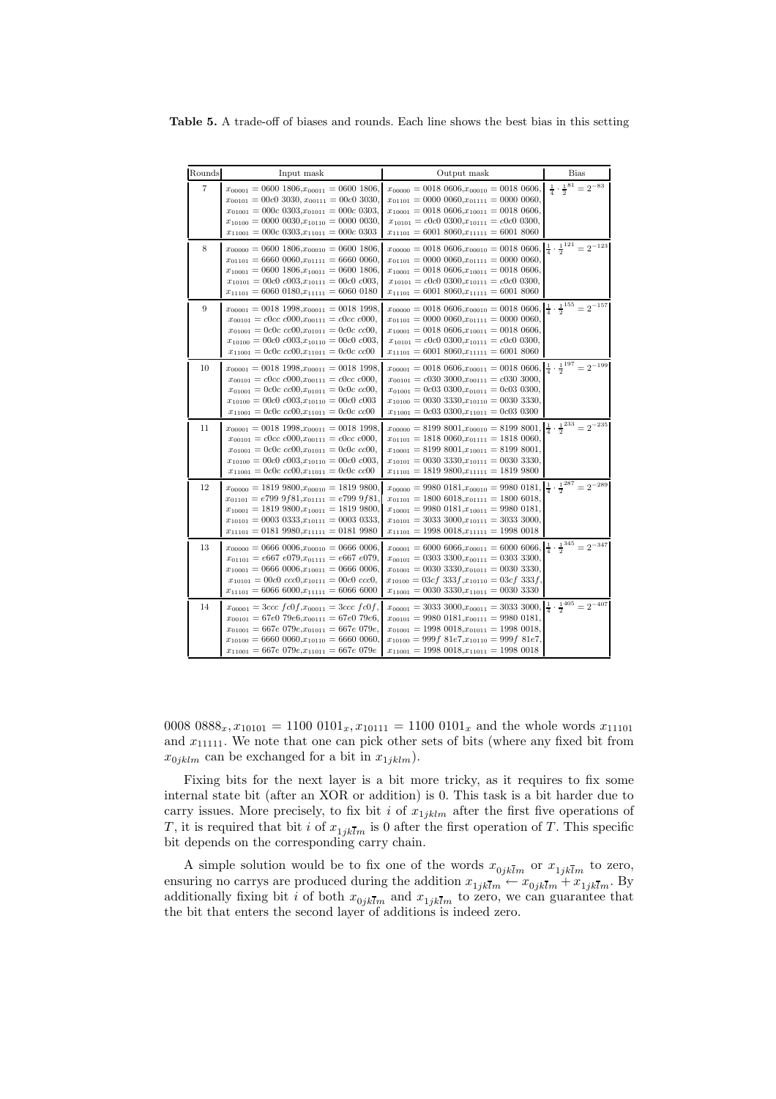Table 5. A trade-off of biases and rounds. Each line shows the best bias in this setting

| Rounds         | Input mask                                                                                                                                                                                                                                                                                 | Output mask                                                                                                                                                                                                                                                                                                                     | <b>Bias</b>                                    |
|----------------|--------------------------------------------------------------------------------------------------------------------------------------------------------------------------------------------------------------------------------------------------------------------------------------------|---------------------------------------------------------------------------------------------------------------------------------------------------------------------------------------------------------------------------------------------------------------------------------------------------------------------------------|------------------------------------------------|
| $\overline{7}$ | $x_{00001} = 0600 1806, x_{00011} = 0600 1806,$<br>$x_{00101} = 00c0 3030, x_{00111} = 00c0 3030.$<br>$x_{01001} = 000c \ 0303, x_{01011} = 000c \ 0303,$<br>$x_{10100} = 0000 0030, x_{10110} = 0000 0030,$<br>$x_{11001} = 000c$ 0303, $x_{11011} = 000c$ 0303                           | $x_{00000} = 0018\ 0606, x_{00010} = 0018\ 0606,$<br>$x_{01101} = 0000 0060, x_{01111} = 0000 0060,$<br>$x_{10001} = 0018\ 0606, x_{10011} = 0018\ 0606,$<br>$x_{10101} = c0c0 0300, x_{10111} = c0c0 0300,$<br>$x_{11101} = 6001 8060, x_{11111} = 6001 8060$                                                                  | $\frac{1}{4} \cdot \frac{1}{2}^{81} = 2^{-83}$ |
| 8              | $x_{00000} = 0600 1806, x_{00010} = 0600 1806,$<br>$x_{01101} = 6660\ 0060, x_{01111} = 6660\ 0060,$<br>$x_{10001} = 0600 1806, x_{10011} = 0600 1806.$<br>$x_{10101} = 00c0 \nc003, x_{10111} = 00c0 \nc003,$<br>$x_{11101} = 6060 0180, x_{11111} = 6060 0180$                           | $x_{00000} = 0018\ 0606, x_{00010} = 0018\ 0606, \left[\frac{1}{4} \cdot \frac{1}{2}^{121}\right] = 2^{-123}$<br>$x_{01101} = 0000 0060, x_{01111} = 0000 0060,$<br>$x_{10001} = 0018\ 0606, x_{10011} = 0018\ 0606,$<br>$x_{10101} = c0c0 0300, x_{10111} = c0c0 0300,$<br>$x_{11101} = 6001 8060, x_{11111} = 6001 8060$      |                                                |
| 9              | $x_{00001} = 0018\ 1998, x_{00011} = 0018\ 1998.$<br>$x_{00101} = c0cc$ $c000, x_{00111} = c0cc$ $c000,$<br>$x_{01001} = 0c0c$ $cc00, x_{01011} = 0c0c$ $cc00,$<br>$x_{10100} = 00c0 \nc003, x_{10110} = 00c0 \nc003,$<br>$x_{11001} = 0c0c$ $cc00, x_{11011} = 0c0c$ $cc00$               | $x_{00000} = 0018\ 0606, x_{00010} = 0018\ 0606, \left[\frac{1}{4} \cdot \frac{1}{2}^{155} = 2^{-157}\right]$<br>$x_{01101} = 0000 0060, x_{01111} = 0000 0060,$<br>$x_{10001} = 0018\ 0606, x_{10011} = 0018\ 0606,$<br>$x_{10101} = c0c0 0300, x_{10111} = c0c0 0300,$<br>$x_{11101} = 6001 8060 \cdot x_{11111} = 6001 8060$ |                                                |
| 10             | $x_{00001} = 0018\ 1998, x_{00011} = 0018\ 1998.$<br>$x_{00101} = c0cc$ $c000, x_{00111} = c0cc$ $c000,$<br>$x_{01001} = 0c0c$ $cc00, x_{01011} = 0c0c$ $cc00,$<br>$x_{10100} = 00c0 \nc003, x_{10110} = 00c0 \nc003$<br>$x_{11001} = 0c0c$ $cc00, x_{11011} = 0c0c$ $cc00$                | $x_{00001} = 0018\ 0606, x_{00011} = 0018\ 0606, \frac{1}{4} \cdot \frac{1}{2}^{197} = 2^{-199}$<br>$x_{00101} = c0303000, x_{00111} = c0303000,$<br>$x_{01001} = 0c03 0300, x_{01011} = 0c03 0300,$<br>$x_{10100} = 00303330, x_{10110} = 00303330,$<br>$x_{11001} = 0c03 0300, x_{11011} = 0c03 0300$                         |                                                |
| 11             | $x_{00001} = 0018\ 1998, x_{00011} = 0018\ 1998.$<br>$x_{00101} = c0cc$ $c000, x_{00111} = c0cc$ $c000,$<br>$x_{01001} = 0c0c$ $cc00, x_{01011} = 0c0c$ $cc00,$<br>$x_{10100} = 00c0 \text{ } c003, x_{10110} = 00c0 \text{ } c003,$<br>$x_{11001} = 0c0c$ $cc00, x_{11011} = 0c0c$ $cc00$ | $x_{00000} = 8199\ 8001, x_{00010} = 8199\ 8001, \left(\frac{1}{4}\cdot\frac{1}{2}\right)^{233} = 2^{-235}$<br>$x_{01101} = 1818\ 0060, x_{01111} = 1818\ 0060,$<br>$x_{10001} = 8199\ 8001, x_{10011} = 8199\ 8001,$<br>$x_{10101} = 00303330, x_{10111} = 00303330,$<br>$x_{11101} = 1819\,9800, x_{11111} = 1819\,9800$      |                                                |
| 12             | $x_{00000} = 18199800, x_{00010} = 18199800.$<br>$x_{01101} = e7999581, x_{01111} = e7999581$<br>$x_{10001} = 18199800, x_{10011} = 18199800,$<br>$x_{10101} = 0003\ 0333, x_{10111} = 0003\ 0333,$<br>$x_{11101} = 0181\ 9980, x_{11111} = 0181\ 9980$                                    | $x_{00000} = 9980\ 0181, x_{00010} = 9980\ 0181, \left \frac{1}{4} \cdot \frac{1}{2}^{287}\right  = 2^{-289}$<br>$x_{01101} = 1800 6018, x_{01111} = 1800 6018,$<br>$x_{10001} = 9980\ 0181, x_{10011} = 9980\ 0181,$<br>$x_{10101} = 3033\,3000, x_{10111} = 3033\,3000,$<br>$x_{11101} = 1998\ 0018, x_{11111} = 1998\ 0018$  |                                                |
| 13             | $x_{00000} = 0666 0006, x_{00010} = 0666 0006,$<br>$x_{01101} = e667 e079, x_{01111} = e667 e079,$<br>$x_{10001} = 0666 0006, x_{10011} = 0666 0006.$<br>$x_{10101} = 00c0$ $ccc0, x_{10111} = 00c0$ $ccc0,$<br>$x_{11101} = 6066 6000, x_{11111} = 6066 6000$                             | $x_{00001} = 6000 6066, x_{00011} = 6000 6066, \frac{1}{4} \cdot \frac{1}{2}^{345} = 2^{-347}$<br>$x_{00101} = 0303\,3300, x_{00111} = 0303\,3300,$<br>$x_{01001} = 00303330, x_{01011} = 00303330,$<br>$x_{10100} = 03cf \ 333f, x_{10110} = 03cf \ 333f,$<br>$x_{11001} = 00303330, x_{11011} = 00303330$                     |                                                |
| 14             | $x_{00001} = 3ccc$ $fc0f, x_{00011} = 3ccc$ $fc0f,$<br>$x_{00101} = 67e0\ 79e6, x_{00111} = 67e0\ 79e6,$<br>$x_{01001} = 667e\ 079e, x_{01011} = 667e\ 079e,$<br>$x_{10100} = 6660\ 0060, x_{10110} = 6660\ 0060,$<br>$x_{11001} = 667e\ 079e, x_{11011} = 667e\ 079e$                     | $x_{00001} = 3033\,3000, x_{00011} = 3033\,3000, \left[\frac{1}{4} \cdot \frac{1}{2}^{405}\right] = 2^{-407}$<br>$x_{00101} = 9980\ 0181, x_{00111} = 9980\ 0181,$<br>$x_{01001} = 1998\ 0018, x_{01011} = 1998\ 0018,$<br>$x_{10100} = 999f 81e7, x_{10110} = 999f 81e7,$<br>$x_{11001} = 1998\ 0018, x_{11011} = 1998\ 0018$  |                                                |

0008  $0888_x, x_{10101} = 11000101_x, x_{10111} = 11000101_x$  and the whole words  $x_{11101}$ and  $x_{11111}$ . We note that one can pick other sets of bits (where any fixed bit from  $x_{0jklm}$  can be exchanged for a bit in  $x_{1jklm}$ ).

Fixing bits for the next layer is a bit more tricky, as it requires to fix some internal state bit (after an XOR or addition) is 0. This task is a bit harder due to carry issues. More precisely, to fix bit i of  $x_{1jklm}$  after the first five operations of T, it is required that bit *i* of  $x_{1jk\overline{l}m}$  is 0 after the first operation of T. This specific bit depends on the corresponding carry chain.

A simple solution would be to fix one of the words  $x_{0jk\overline{l}m}$  or  $x_{1jk\overline{l}m}$  to zero, ensuring no carrys are produced during the addition  $x_{1jk\overline{l}m} \leftarrow x_{0jk\overline{l}m} + x_{1jk\overline{l}m}$ . By<br>additionally fixing bit *i* of both  $x_{0jk\overline{l}m}$  and  $x_{1jk\overline{l}m}$  to zero, we can guarantee that<br>the bit that enters the se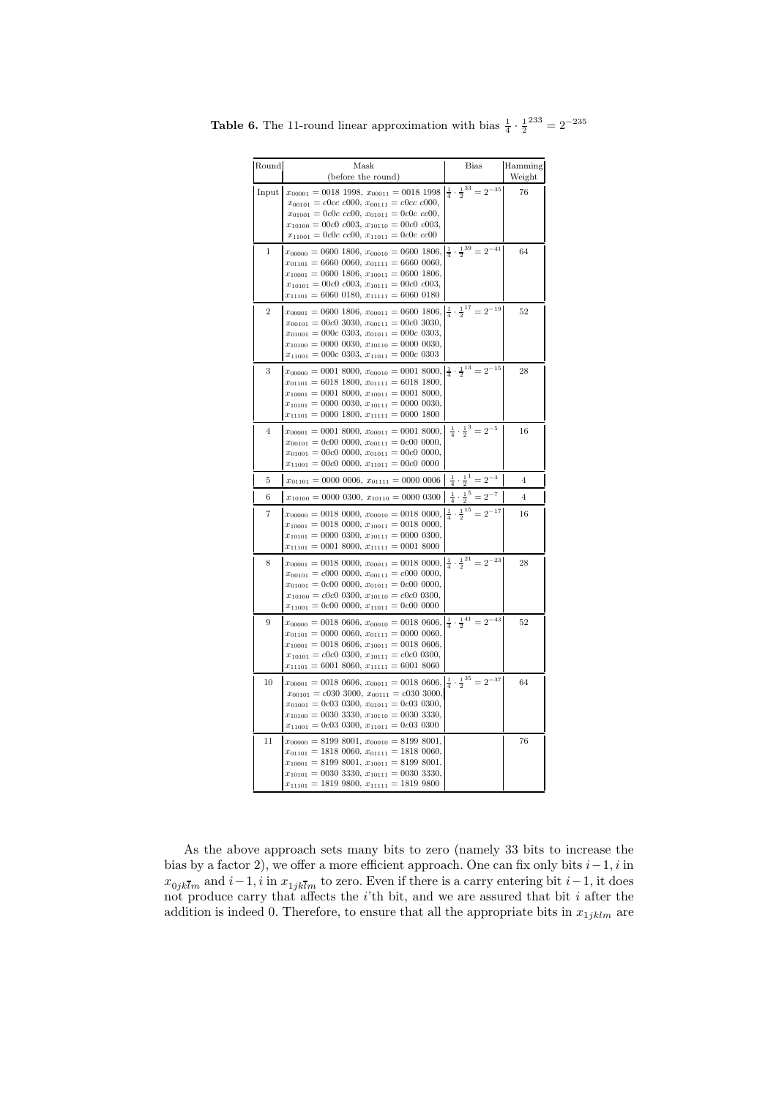| Round          | Mask<br>(before the round)                                                                                                                                                                                                                                                                                                                | <b>Bias</b>                                | Hamming<br>Weight |
|----------------|-------------------------------------------------------------------------------------------------------------------------------------------------------------------------------------------------------------------------------------------------------------------------------------------------------------------------------------------|--------------------------------------------|-------------------|
| Input          | $x_{00001} = 0018$ 1998, $x_{00011} = 0018$ 1998 $\frac{1}{4} \cdot \frac{1}{2}^{33} = 2^{-35}$<br>$x_{00101} = c0cc$ $c000$ , $x_{00111} = c0cc$ $c000$ ,<br>$x_{01001} = 0c0c$ $cc00$ , $x_{01011} = 0c0c$ $cc00$ ,<br>$x_{10100} = 00c0$ $c003$ , $x_{10110} = 00c0$ $c003$ ,<br>$x_{11001} = 0c0c$ $cc00$ , $x_{11011} = 0c0c$ $cc00$ |                                            | 76                |
| $\,1$          | $x_{00000} = 0600 1806, x_{00010} = 0600 1806, \left  \frac{1}{4} \cdot \frac{1}{2}^{39} \right  = 2^{-41}$<br>$x_{01101} = 6660\ 0060, x_{01111} = 6660\ 0060,$<br>$x_{10001} = 0600 1806, x_{10011} = 0600 1806,$<br>$x_{10101} = 00c0 \nc003, x_{10111} = 00c0 \nc003,$<br>$x_{11101} = 6060\ 0180, x_{11111} = 6060\ 0180$            |                                            | 64                |
| $\overline{2}$ | $x_{00001} = 0600 1806, x_{00011} = 0600 1806, \left \frac{1}{4} \cdot \frac{1}{2}^{17}\right  = 2^{-19}$<br>$x_{00101} = 00c0 3030, x_{00111} = 00c0 3030,$<br>$x_{01001} = 000c$ 0303, $x_{01011} = 000c$ 0303,<br>$x_{10100} = 0000 0030, x_{10110} = 0000 0030,$<br>$x_{11001} = 000c$ 0303, $x_{11011} = 000c$ 0303                  |                                            | 52                |
| 3              | $x_{00000} = 0001 8000, x_{00010} = 0001 8000, \left  \frac{1}{4} \cdot \frac{1}{2}^{13} \right  = 2^{-15}$<br>$x_{01101} = 6018\ 1800, \ x_{01111} = 6018\ 1800,$<br>$x_{10001} = 0001 8000, x_{10011} = 0001 8000,$<br>$x_{10101} = 0000 0030, x_{10111} = 0000 0030,$<br>$x_{11101} = 0000$ 1800, $x_{11111} = 0000$ 1800              |                                            | 28                |
| $\overline{4}$ | $x_{00001} = 00018000, x_{00011} = 00018000, \frac{1}{4} \cdot \frac{1}{2}^3 = 2^{-5}$<br>$x_{00101} = 0c00 0000, x_{00111} = 0c00 0000,$<br>$x_{01001} = 00c0 0000, x_{01011} = 00c0 0000,$<br>$x_{11001} = 00c0 0000, x_{11011} = 00c0 0000$                                                                                            |                                            | 16                |
| 5              | $x_{01101} = 0000\ 0006, x_{01111} = 0000\ 0006 \left  \frac{1}{4} \cdot \frac{1}{2} \right  = 2^{-3}$                                                                                                                                                                                                                                    |                                            | $\overline{4}$    |
| 6              | $x_{10100} = 0000 0300, x_{10110} = 0000 0300$                                                                                                                                                                                                                                                                                            | $\frac{1}{4} \cdot \frac{1}{2}^5 = 2^{-7}$ | $\overline{4}$    |
| 7              | $x_{00000} = 0018\,0000, x_{00010} = 0018\,0000, \left \frac{1}{4} \cdot \frac{1}{2}^{15} = 2^{-17}\right $<br>$x_{10001} = 0018 0000, x_{10011} = 0018 0000,$<br>$x_{10101} = 0000 0300, x_{10111} = 0000 0300,$<br>$x_{11101} = 0001 8000, x_{11111} = 0001 8000$                                                                       |                                            | 16                |
| 8              | $x_{00001} = 0018\ 0000, x_{00011} = 0018\ 0000, \left \frac{1}{4} \cdot \frac{1}{2}^{21}\right  = 2^{-23}$<br>$x_{00101} = c000 0000, x_{00111} = c000 0000,$<br>$x_{01001} = 0c00 0000, x_{01011} = 0c00 0000,$<br>$x_{10100} = c0c0 0300, x_{10110} = c0c0 0300,$<br>$x_{11001} = 0c00 0000, x_{11011} = 0c00 0000$                    |                                            | 28                |
| 9              | $x_{00000} = 0018\,0606, x_{00010} = 0018\,0606, \left[\frac{1}{4} \cdot \frac{1}{2}^{41} = 2^{-43}\right]$<br>$x_{01101} = 0000 0060, x_{01111} = 0000 0060,$<br>$x_{10001} = 0018\ 0606, \ x_{10011} = 0018\ 0606,$<br>$x_{10101} = c0c0 0300, x_{10111} = c0c0 0300,$<br>$x_{11101} = 6001\ 8060, \ x_{11111} = 6001\ 8060$            |                                            | 52                |
| 10             | $x_{00001} = 0018\ 0606, x_{00011} = 0018\ 0606, \left \frac{1}{4} \cdot \frac{1}{2}^{35}\right  = 2^{-37}$<br>$x_{00101} = c030\,3000, x_{00111} = c030\,3000,$<br>$x_{01001} = 0c03 0300, x_{01011} = 0c03 0300,$<br>$x_{10100} = 0030$ 3330, $x_{10110} = 0030$ 3330,<br>$x_{11001} = 0c03 0300, x_{11011} = 0c03 0300$                |                                            | 64                |
| 11             | $x_{00000} = 8199\ 8001, x_{00010} = 8199\ 8001,$<br>$x_{01101} = 1818\ 0060, x_{01111} = 1818\ 0060,$<br>$x_{10001} = 8199\ 8001, x_{10011} = 8199\ 8001,$<br>$x_{10101} = 00303330, x_{10111} = 00303330,$<br>$x_{11101} = 1819\ 9800, x_{11111} = 1819\ 9800$                                                                          |                                            | 76                |

**Table 6.** The 11-round linear approximation with bias  $\frac{1}{4} \cdot \frac{1}{2}^{233} = 2^{-235}$ 

As the above approach sets many bits to zero (namely 33 bits to increase the bias by a factor 2), we offer a more efficient approach. One can fix only bits  $i-1$ , i in  $x_{0jk\overline{l}m}$  and  $i-1$ , i in  $x_{1jk\overline{l}m}$  to zero. Even if there is a carry entering bit  $i-1$ , it does<br>not produce carry that affects the *i*'th bit, and we are assured that bit *i* after the addition is indeed 0. Therefore, to ensure that all the appropriate bits in  $x_{1jklm}$  are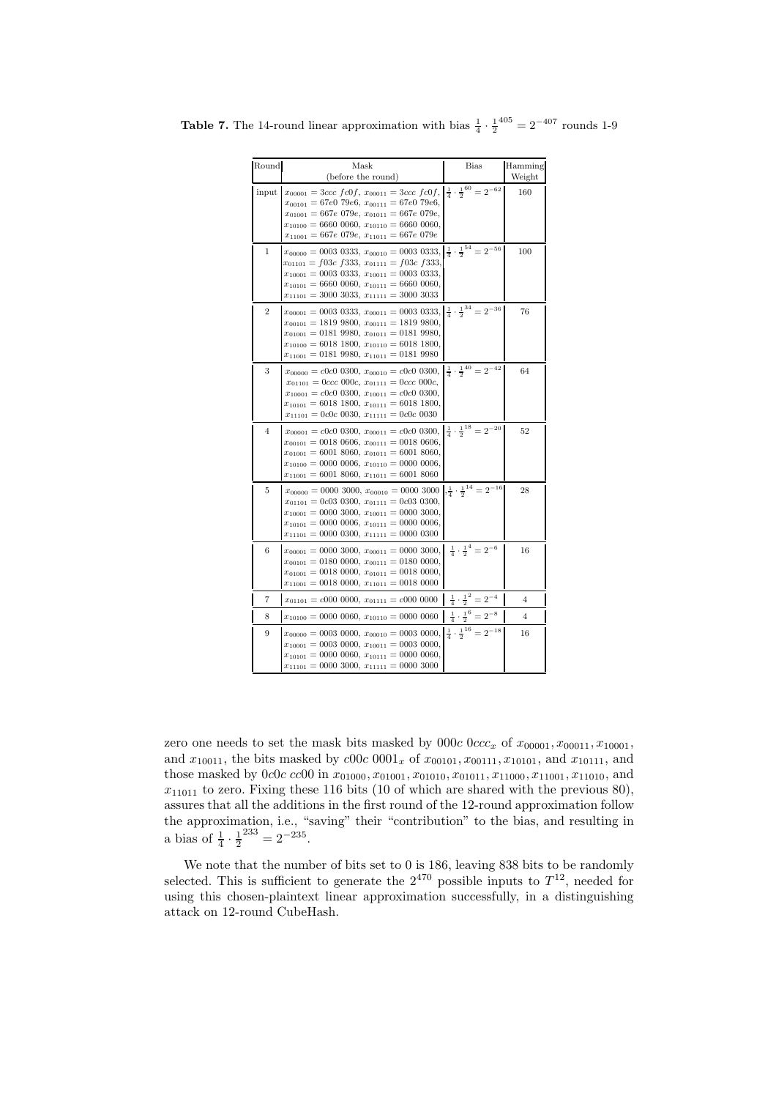| Round          | Mask<br>(before the round)                                                                                                                                                                                                                                                                                                       | <b>Bias</b>                                    | Hamming<br>Weight |
|----------------|----------------------------------------------------------------------------------------------------------------------------------------------------------------------------------------------------------------------------------------------------------------------------------------------------------------------------------|------------------------------------------------|-------------------|
| input          | $x_{00001} = 3ccc~f c0f, x_{00011} = 3ccc~f c0f,$<br>$x_{00101} = 67e0 79e6, x_{00111} = 67e0 79e6,$<br>$x_{01001} = 667e\ 079e, x_{01011} = 667e\ 079e,$<br>$x_{10100} = 6660\ 0060, x_{10110} = 6660\ 0060,$<br>$x_{11001} = 667e\ 079e, x_{11011} = 667e\ 079e$                                                               | $\frac{1}{4} \cdot \frac{1}{2}^{60} = 2^{-62}$ | 160               |
| 1              | $x_{00000} = 0003\;0333, x_{00010} = 0003\;0333, \left[\frac{1}{4} \cdot \frac{1}{2}^{54}\right] = 2^{-56}$<br>$x_{01101} = f03c f333, x_{01111} = f03c f333,$<br>$x_{10001} = 0003 0333, x_{10011} = 0003 0333,$<br>$x_{10101} = 6660 0060, x_{10111} = 6660 0060,$<br>$x_{11101} = 3000 3033, x_{11111} = 3000 3033$           |                                                | 100               |
| $\overline{2}$ | $x_{00001} = 0003 0333, x_{00011} = 0003 0333, \frac{1}{4} \cdot \frac{1}{2}^{34} = 2^{-36}$<br>$x_{00101} = 18199800, x_{00111} = 18199800,$<br>$x_{01001} = 01819980, x_{01011} = 01819980,$<br>$x_{10100} = 6018\ 1800, \ x_{10110} = 6018\ 1800,$<br>$x_{11001} = 01819980, x_{11011} = 01819980$                            |                                                | 76                |
| 3              | $x_{00000} = c0c0 0300, x_{00010} = c0c0 0300,$<br>$x_{01101} = 0$ ccc 000c, $x_{01111} = 0$ ccc 000c,<br>$x_{10001} = c0c0 0300, x_{10011} = c0c0 0300,$<br>$x_{10101} = 6018\ 1800, \ x_{10111} = 6018\ 1800,$<br>$x_{11101} = 0c0c0030, x_{11111} = 0c0c0030$                                                                 | $\frac{1}{4} \cdot \frac{1}{2}^{40} = 2^{-42}$ | 64                |
| $\overline{4}$ | $x_{00001} = c0c0 0300, x_{00011} = c0c0 0300, \left[\frac{1}{4} \cdot \frac{1}{2}^{18}\right] = 2^{-20}$<br>$x_{00101} = 0018\ 0606, \ x_{00111} = 0018\ 0606,$<br>$x_{01001} = 6001\ 8060, \ x_{01011} = 6001\ 8060,$<br>$x_{10100} = 0000 0006, x_{10110} = 0000 0006,$<br>$x_{11001} = 6001\ 8060, \ x_{11011} = 6001\ 8060$ |                                                | 52                |
| 5              | $x_{00000} = 0000$ 3000, $x_{00010} = 0000$ 3000 $\frac{1}{4} \cdot \frac{1}{2}^{14} = 2^{-16}$<br>$x_{01101} = 0c03 0300, x_{01111} = 0c03 0300,$<br>$x_{10001} = 0000 3000, x_{10011} = 0000 3000,$<br>$x_{10101} = 0000 0006, x_{10111} = 0000 0006,$<br>$x_{11101} = 0000 0300, x_{11111} = 0000 0300$                       |                                                | 28                |
| 6              | $x_{00001} = 0000 3000, x_{00011} = 0000 3000,$<br>$x_{00101} = 0180\ 0000, \ x_{00111} = 0180\ 0000,$<br>$x_{01001} = 0018 0000, x_{01011} = 0018 0000,$<br>$x_{11001} = 0018\ 0000, x_{11011} = 0018\ 0000$                                                                                                                    | $\frac{1}{4} \cdot \frac{1}{2}^4 = 2^{-6}$     | 16                |
| $\overline{7}$ | $x_{01101} = c000\ 0000, x_{01111} = c000\ 0000 \left  \frac{1}{4} \cdot \frac{1}{2}^{2} = 2^{-4} \right $                                                                                                                                                                                                                       |                                                | $\overline{4}$    |
| 8              | $x_{10100} = 0000 0060, x_{10110} = 0000 0060$                                                                                                                                                                                                                                                                                   | $\frac{1}{4} \cdot \frac{1}{2}^6 = 2^{-8}$     | $\overline{4}$    |
| 9              | $x_{00000} = 0003 0000, x_{00010} = 0003 0000,$<br>$x_{10001} = 0003 0000, x_{10011} = 0003 0000,$<br>$x_{10101} = 0000 0060, x_{10111} = 0000 0060,$<br>$x_{11101} = 0000 3000, x_{11111} = 0000 3000$                                                                                                                          | $\frac{1}{4} \cdot \frac{1}{2}^{16} = 2^{-18}$ | 16                |

**Table 7.** The 14-round linear approximation with bias  $\frac{1}{4} \cdot \frac{1}{2}^{405} = 2^{-407}$  rounds 1-9

zero one needs to set the mask bits masked by 000c 0ccc<sub>x</sub> of  $x_{00001}, x_{00011}, x_{10001}$ , and  $x_{10011}$ , the bits masked by  $c00c 0001_x$  of  $x_{00101}, x_{00111}, x_{10101}$ , and  $x_{10111}$ , and those masked by 0c0c cc00 in  $x_{01000}, x_{01001}, x_{01010}, x_{01011}, x_{11000}, x_{11001}, x_{11010}$ , and  $x_{11011}$  to zero. Fixing these 116 bits (10 of which are shared with the previous 80), assures that all the additions in the first round of the 12-round approximation follow the approximation, i.e., "saving" their "contribution" to the bias, and resulting in<br>a bias of  $\frac{1}{4} \cdot \frac{1}{2}^{233} = 2^{-235}$ .

We note that the number of bits set to 0 is 186, leaving 838 bits to be randomly selected. This is sufficient to generate the  $2^{470}$  possible inputs to  $T^{12}$ , needed for using this chosen-plaintext linear approximation successfully, in a distinguishing attack on 12-round CubeHash.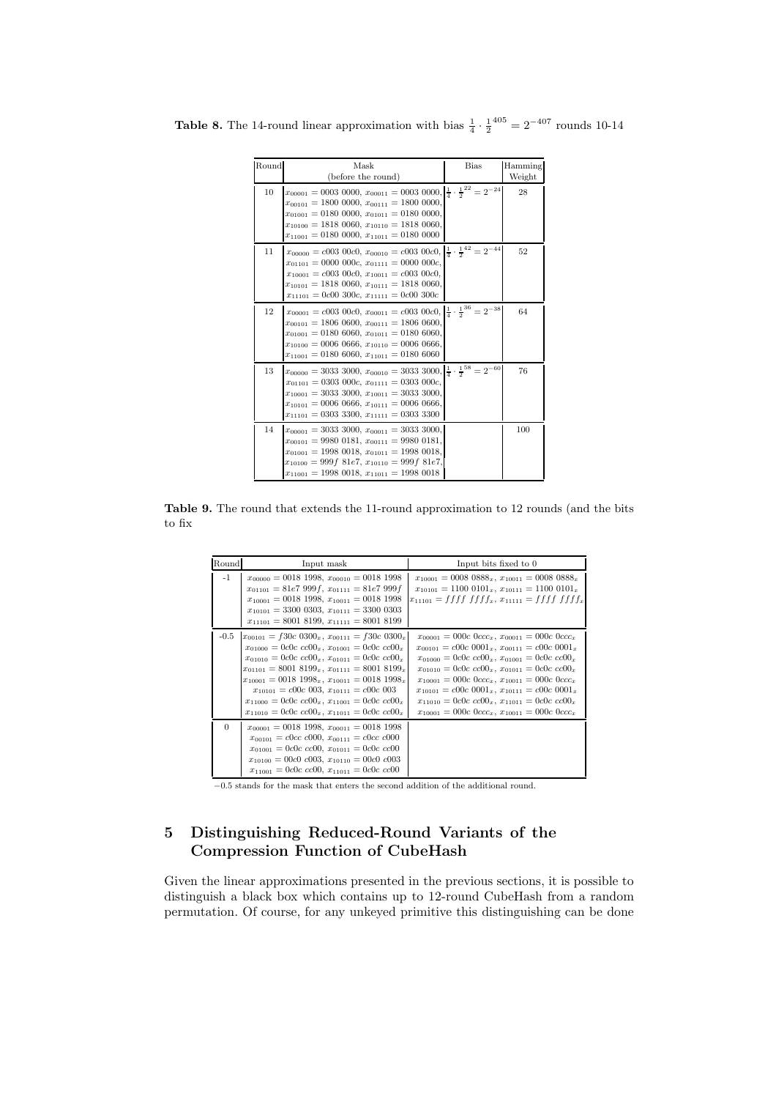| Round | Mask                                                                                                            | <b>Bias</b> | Hamming |
|-------|-----------------------------------------------------------------------------------------------------------------|-------------|---------|
|       | (before the round)                                                                                              |             | Weight  |
| 10    | $x_{00001} = 0003\ 0000, x_{00011} = 0003\ 0000, \left \frac{1}{4} \cdot \frac{1}{2}\right ^{22} = 2^{-24}$     |             | 28      |
|       | $x_{00101} = 1800 0000, x_{00111} = 1800 0000,$                                                                 |             |         |
|       | $x_{01001} = 0180 0000, x_{01011} = 0180 0000,$                                                                 |             |         |
|       | $x_{10100} = 1818\ 0060, x_{10110} = 1818\ 0060,$                                                               |             |         |
|       | $x_{11001} = 0180\ 0000, x_{11011} = 0180\ 0000$                                                                |             |         |
| 11    | $x_{00000} = c003\ 00c0, x_{00010} = c003\ 00c0, \left \frac{1}{4} \cdot \frac{1}{2}^{42}\right  = 2^{-44}$     |             | 52      |
|       | $x_{01101} = 0000 000c, x_{01111} = 0000 000c.$                                                                 |             |         |
|       | $x_{10001} = c003\ 00c0, x_{10011} = c003\ 00c0,$                                                               |             |         |
|       | $x_{10101} = 1818\ 0060, x_{10111} = 1818\ 0060,$                                                               |             |         |
|       | $x_{11101} = 0c00\,300c, x_{11111} = 0c00\,300c$                                                                |             |         |
| 12    | $x_{00001} = c003$ 00 $c0, x_{00011} = c003$ 00 $c0, \left \frac{1}{4} \cdot \frac{1}{2}^{36}\right  = 2^{-38}$ |             | 64      |
|       | $x_{00101} = 1806 0600, x_{00111} = 1806 0600,$                                                                 |             |         |
|       | $x_{01001} = 0180\ 6060, x_{01011} = 0180\ 6060,$                                                               |             |         |
|       | $x_{10100} = 0006 0666, x_{10110} = 0006 0666,$                                                                 |             |         |
|       | $x_{11001} = 0180\ 6060, x_{11011} = 0180\ 6060$                                                                |             |         |
| 13    | $x_{00000} = 3033\,3000, x_{00010} = 3033\,3000, \left \frac{1}{4} \cdot \frac{1}{2}^{58}\right  = 2^{-60}$     |             | 76      |
|       | $x_{01101} = 0303\ 000c, x_{01111} = 0303\ 000c,$                                                               |             |         |
|       | $x_{10001} = 3033\,3000, x_{10011} = 3033\,3000,$                                                               |             |         |
|       | $x_{10101} = 0006 0666, x_{10111} = 0006 0666,$                                                                 |             |         |
|       | $x_{11101} = 0303\,3300, x_{11111} = 0303\,3300$                                                                |             |         |
| 14    | $x_{00001} = 30333000, x_{00011} = 30333000,$                                                                   |             | 100     |
|       | $x_{00101} = 9980 0181, x_{00111} = 9980 0181,$                                                                 |             |         |
|       | $x_{01001} = 1998\ 0018, x_{01011} = 1998\ 0018,$                                                               |             |         |
|       | $x_{10100} = 999f 81e7, x_{10110} = 999f 81e7,$                                                                 |             |         |
|       | $x_{11001} = 1998\ 0018, x_{11011} = 1998\ 0018$                                                                |             |         |

**Table 8.** The 14-round linear approximation with bias  $\frac{1}{4} \cdot \frac{1}{2}^{405} = 2^{-407}$  rounds 10-14

Table 9. The round that extends the 11-round approximation to 12 rounds (and the bits to fix

| Round    | Input mask                                                                                                                                                                                                                                                                                                                                                                                                                                                               | Input bits fixed to 0                                                                                                                                                                                                                                                                                                                                                                                                                                                                     |
|----------|--------------------------------------------------------------------------------------------------------------------------------------------------------------------------------------------------------------------------------------------------------------------------------------------------------------------------------------------------------------------------------------------------------------------------------------------------------------------------|-------------------------------------------------------------------------------------------------------------------------------------------------------------------------------------------------------------------------------------------------------------------------------------------------------------------------------------------------------------------------------------------------------------------------------------------------------------------------------------------|
| -1       | $x_{00000} = 0018$ 1998, $x_{00010} = 0018$ 1998<br>$x_{01101} = 81e7999f, x_{01111} = 81e7999f$<br>$x_{10001} = 0018$ 1998, $x_{10011} = 0018$ 1998<br>$x_{10101} = 3300 0303, x_{10111} = 3300 0303$<br>$x_{11101} = 8001 8199, x_{11111} = 8001 8199$                                                                                                                                                                                                                 | $x_{10001} = 00080888_x, x_{10011} = 00080888_x$<br>$x_{10101} = 11000101_x$ , $x_{10111} = 11000101_x$<br>$x_{11101} = f f f f f f f f x$ , $x_{11111} = f f f f f f f f x$                                                                                                                                                                                                                                                                                                              |
| $-0.5$   | $x_{00101} = f30c\ 0300_x, x_{00111} = f30c\ 0300_x$<br>$x_{01000} = 0c0c$ $cc00_x$ , $x_{01001} = 0c0c$ $cc00_x$<br>$x_{01010} = 0c0c$ $cc00_x$ , $x_{01011} = 0c0c$ $cc00_x$<br>$x_{01101} = 8001 8199_x, x_{01111} = 8001 8199_x$<br>$x_{10001} = 0018\ 1998_x, x_{10011} = 0018\ 1998_x$<br>$x_{10101} = c00c\ 003, x_{10111} = c00c\ 003$<br>$x_{11000} = 0c0c$ $cc00_x$ , $x_{11001} = 0c0c$ $cc00_x$<br>$x_{11010} = 0c0c$ $cc00_x$ , $x_{11011} = 0c0c$ $cc00_x$ | $x_{00001} = 000c$ $0ccc_x$ , $x_{00011} = 000c$ $0ccc_x$<br>$x_{00101} = c00c\ 0001_x, x_{00111} = c00c\ 0001_x$<br>$x_{01000} = 0c0c$ $cc00_x$ , $x_{01001} = 0c0c$ $cc00_x$<br>$x_{01010} = 0c0c$ $cc00_x$ , $x_{01011} = 0c0c$ $cc00_x$<br>$x_{10001} = 000c$ $0ccc_x$ , $x_{10011} = 000c$ $0ccc_x$<br>$x_{10101} = c00c\ 0001_x, x_{10111} = c00c\ 0001_x$<br>$x_{11010} = 0c0c$ $cc00_x$ , $x_{11011} = 0c0c$ $cc00_x$<br>$x_{10001} = 000c \; 0ccc_x, x_{10011} = 000c \; 0ccc_x$ |
| $\Omega$ | $x_{00001} = 0018$ 1998, $x_{00011} = 0018$ 1998<br>$x_{00101} = c0cc$ $c000$ , $x_{00111} = c0cc$ $c000$<br>$x_{01001} = 0c0c$ $cc00$ , $x_{01011} = 0c0c$ $cc00$<br>$x_{10100} = 00c0$ c003, $x_{10110} = 00c0$ c003<br>$x_{11001} = 0c0c$ cc00, $x_{11011} = 0c0c$ cc00                                                                                                                                                                                               |                                                                                                                                                                                                                                                                                                                                                                                                                                                                                           |

−0.5 stands for the mask that enters the second addition of the additional round.

# 5 Distinguishing Reduced-Round Variants of the Compression Function of CubeHash

Given the linear approximations presented in the previous sections, it is possible to distinguish a black box which contains up to 12-round CubeHash from a random permutation. Of course, for any unkeyed primitive this distinguishing can be done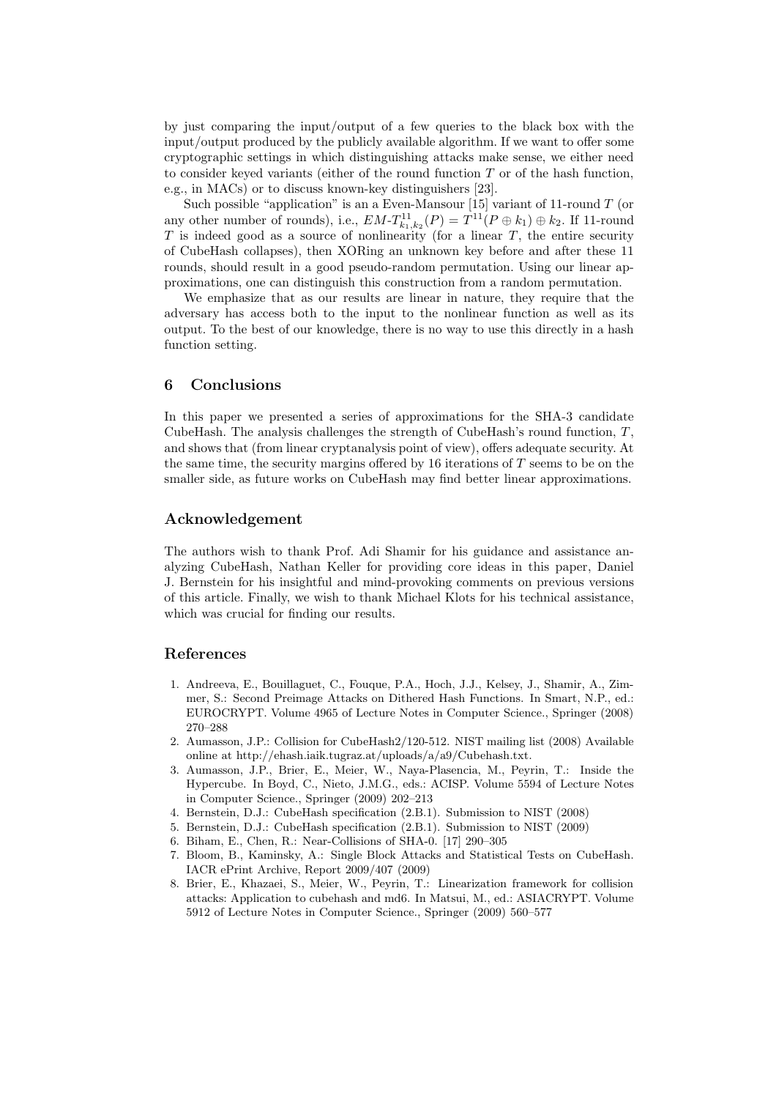by just comparing the input/output of a few queries to the black box with the input/output produced by the publicly available algorithm. If we want to offer some cryptographic settings in which distinguishing attacks make sense, we either need to consider keyed variants (either of the round function  $T$  or of the hash function, e.g., in MACs) or to discuss known-key distinguishers [23].

Such possible "application" is an a Even-Mansour [15] variant of 11-round  $T$  (or any other number of rounds), i.e.,  $EM-T_{k_1,k_2}^{11}(P) = T_{11}(P \oplus k_1) \oplus k_2$ . If 11-round T is indeed good as a source of nonlinearity (for a linear  $T$ , the entire security of CubeHash collapses), then XORing an unknown key before and after these 11 rounds, should result in a good pseudo-random permutation. Using our linear approximations, one can distinguish this construction from a random permutation.

We emphasize that as our results are linear in nature, they require that the adversary has access both to the input to the nonlinear function as well as its output. To the best of our knowledge, there is no way to use this directly in a hash function setting.

# 6 Conclusions

In this paper we presented a series of approximations for the SHA-3 candidate CubeHash. The analysis challenges the strength of CubeHash's round function,  $T$ , and shows that (from linear cryptanalysis point of view), offers adequate security. At the same time, the security margins offered by  $16$  iterations of  $T$  seems to be on the smaller side, as future works on CubeHash may find better linear approximations.

## Acknowledgement

The authors wish to thank Prof. Adi Shamir for his guidance and assistance analyzing CubeHash, Nathan Keller for providing core ideas in this paper, Daniel J. Bernstein for his insightful and mind-provoking comments on previous versions of this article. Finally, we wish to thank Michael Klots for his technical assistance, which was crucial for finding our results.

### References

- 1. Andreeva, E., Bouillaguet, C., Fouque, P.A., Hoch, J.J., Kelsey, J., Shamir, A., Zimmer, S.: Second Preimage Attacks on Dithered Hash Functions. In Smart, N.P., ed.: EUROCRYPT. Volume 4965 of Lecture Notes in Computer Science., Springer (2008) 270–288
- 2. Aumasson, J.P.: Collision for CubeHash2/120-512. NIST mailing list (2008) Available online at http://ehash.iaik.tugraz.at/uploads/a/a9/Cubehash.txt.
- 3. Aumasson, J.P., Brier, E., Meier, W., Naya-Plasencia, M., Peyrin, T.: Inside the Hypercube. In Boyd, C., Nieto, J.M.G., eds.: ACISP. Volume 5594 of Lecture Notes in Computer Science., Springer (2009) 202–213
- 4. Bernstein, D.J.: CubeHash specification (2.B.1). Submission to NIST (2008)
- 5. Bernstein, D.J.: CubeHash specification (2.B.1). Submission to NIST (2009)
- 6. Biham, E., Chen, R.: Near-Collisions of SHA-0. [17] 290–305
- 7. Bloom, B., Kaminsky, A.: Single Block Attacks and Statistical Tests on CubeHash. IACR ePrint Archive, Report 2009/407 (2009)
- 8. Brier, E., Khazaei, S., Meier, W., Peyrin, T.: Linearization framework for collision attacks: Application to cubehash and md6. In Matsui, M., ed.: ASIACRYPT. Volume 5912 of Lecture Notes in Computer Science., Springer (2009) 560–577